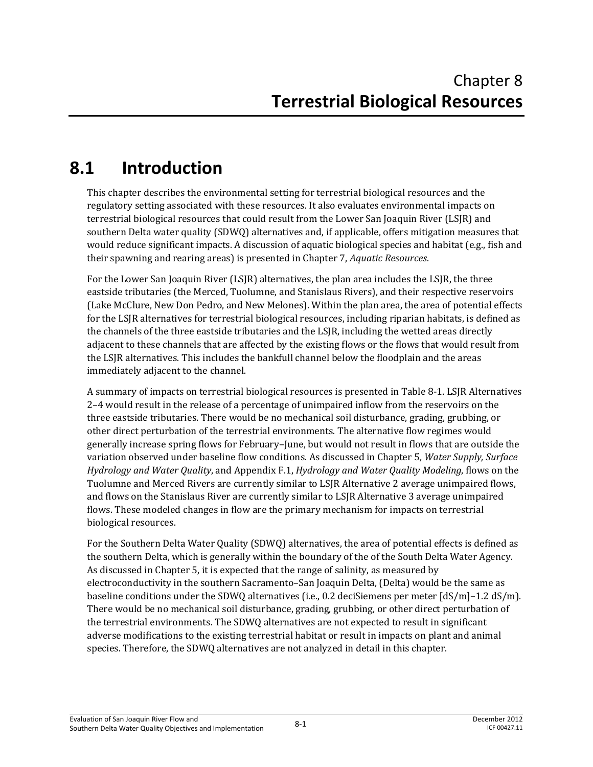# **8.1 Introduction**

This chapter describes the environmental setting for terrestrial biological resources and the regulatory setting associated with these resources. It also evaluates environmental impacts on terrestrial biological resources that could result from the Lower San Joaquin River (LSJR) and southern Delta water quality (SDWQ) alternatives and, if applicable, offers mitigation measures that would reduce significant impacts. A discussion of aquatic biological species and habitat (e.g., fish and their spawning and rearing areas) is presented in Chapter 7, *Aquatic Resources*.

For the Lower San Joaquin River (LSJR) alternatives, the plan area includes the LSJR, the three eastside tributaries (the Merced, Tuolumne, and Stanislaus Rivers), and their respective reservoirs (Lake McClure, New Don Pedro, and New Melones). Within the plan area, the area of potential effects for the LSJR alternatives for terrestrial biological resources, including riparian habitats, is defined as the channels of the three eastside tributaries and the LSJR, including the wetted areas directly adjacent to these channels that are affected by the existing flows or the flows that would result from the LSJR alternatives. This includes the bankfull channel below the floodplain and the areas immediately adjacent to the channel.

A summary of impacts on terrestrial biological resources is presented in Table 8-1. LSJR Alternatives 2–4 would result in the release of a percentage of unimpaired inflow from the reservoirs on the three eastside tributaries. There would be no mechanical soil disturbance, grading, grubbing, or other direct perturbation of the terrestrial environments. The alternative flow regimes would generally increase spring flows for February–June, but would not result in flows that are outside the variation observed under baseline flow conditions. As discussed in Chapter 5, *Water Supply, Surface Hydrology and Water Quality*, and Appendix F.1, *Hydrology and Water Quality Modeling*, flows on the Tuolumne and Merced Rivers are currently similar to LSJR Alternative 2 average unimpaired flows, and flows on the Stanislaus River are currently similar to LSJR Alternative 3 average unimpaired flows. These modeled changes in flow are the primary mechanism for impacts on terrestrial biological resources.

For the Southern Delta Water Quality (SDWQ) alternatives, the area of potential effects is defined as the southern Delta, which is generally within the boundary of the of the South Delta Water Agency. As discussed in Chapter 5, it is expected that the range of salinity, as measured by electroconductivity in the southern Sacramento–San Joaquin Delta, (Delta) would be the same as baseline conditions under the SDWQ alternatives (i.e., 0.2 deciSiemens per meter [dS/m]–1.2 dS/m). There would be no mechanical soil disturbance, grading, grubbing, or other direct perturbation of the terrestrial environments. The SDWQ alternatives are not expected to result in significant adverse modifications to the existing terrestrial habitat or result in impacts on plant and animal species. Therefore, the SDWQ alternatives are not analyzed in detail in this chapter.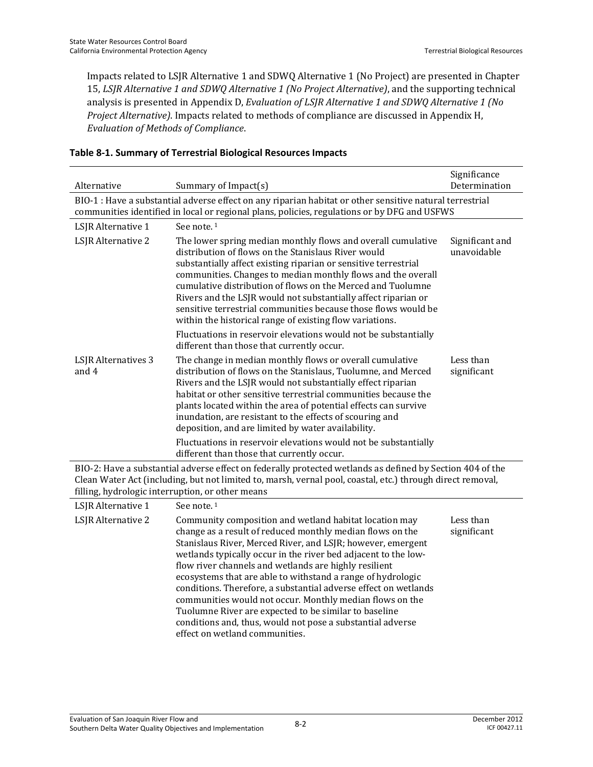Impacts related to LSJR Alternative 1 and SDWQ Alternative 1 (No Project) are presented in Chapter 15, *LSJR Alternative 1 and SDWQ Alternative 1 (No Project Alternative)*, and the supporting technical analysis is presented in Appendix D, *Evaluation of LSJR Alternative 1 and SDWQ Alternative 1 (No Project Alternative)*. Impacts related to methods of compliance are discussed in Appendix H, *Evaluation of Methods of Compliance*.

| Alternative                  | Summary of Impact(s)                                                                                                                                                                                                                                                                                                                                                                                                                                                                                                                                                                                                                                                 | Significance<br>Determination  |
|------------------------------|----------------------------------------------------------------------------------------------------------------------------------------------------------------------------------------------------------------------------------------------------------------------------------------------------------------------------------------------------------------------------------------------------------------------------------------------------------------------------------------------------------------------------------------------------------------------------------------------------------------------------------------------------------------------|--------------------------------|
|                              | BIO-1 : Have a substantial adverse effect on any riparian habitat or other sensitive natural terrestrial<br>communities identified in local or regional plans, policies, regulations or by DFG and USFWS                                                                                                                                                                                                                                                                                                                                                                                                                                                             |                                |
| LSJR Alternative 1           | See note. <sup>1</sup>                                                                                                                                                                                                                                                                                                                                                                                                                                                                                                                                                                                                                                               |                                |
| LSJR Alternative 2           | The lower spring median monthly flows and overall cumulative<br>distribution of flows on the Stanislaus River would<br>substantially affect existing riparian or sensitive terrestrial<br>communities. Changes to median monthly flows and the overall<br>cumulative distribution of flows on the Merced and Tuolumne<br>Rivers and the LSJR would not substantially affect riparian or<br>sensitive terrestrial communities because those flows would be<br>within the historical range of existing flow variations.                                                                                                                                                | Significant and<br>unavoidable |
|                              | Fluctuations in reservoir elevations would not be substantially<br>different than those that currently occur.                                                                                                                                                                                                                                                                                                                                                                                                                                                                                                                                                        |                                |
| LSJR Alternatives 3<br>and 4 | The change in median monthly flows or overall cumulative<br>distribution of flows on the Stanislaus, Tuolumne, and Merced<br>Rivers and the LSJR would not substantially effect riparian<br>habitat or other sensitive terrestrial communities because the<br>plants located within the area of potential effects can survive<br>inundation, are resistant to the effects of scouring and<br>deposition, and are limited by water availability.                                                                                                                                                                                                                      | Less than<br>significant       |
|                              | Fluctuations in reservoir elevations would not be substantially<br>different than those that currently occur.                                                                                                                                                                                                                                                                                                                                                                                                                                                                                                                                                        |                                |
|                              | BIO-2: Have a substantial adverse effect on federally protected wetlands as defined by Section 404 of the<br>Clean Water Act (including, but not limited to, marsh, vernal pool, coastal, etc.) through direct removal,<br>filling, hydrologic interruption, or other means                                                                                                                                                                                                                                                                                                                                                                                          |                                |
| LSJR Alternative 1           | See note. <sup>1</sup>                                                                                                                                                                                                                                                                                                                                                                                                                                                                                                                                                                                                                                               |                                |
| LSJR Alternative 2           | Community composition and wetland habitat location may<br>change as a result of reduced monthly median flows on the<br>Stanislaus River, Merced River, and LSJR; however, emergent<br>wetlands typically occur in the river bed adjacent to the low-<br>flow river channels and wetlands are highly resilient<br>ecosystems that are able to withstand a range of hydrologic<br>conditions. Therefore, a substantial adverse effect on wetlands<br>communities would not occur. Monthly median flows on the<br>Tuolumne River are expected to be similar to baseline<br>conditions and, thus, would not pose a substantial adverse<br>effect on wetland communities. | Less than<br>significant       |

#### **Table 8-1. Summary of Terrestrial Biological Resources Impacts**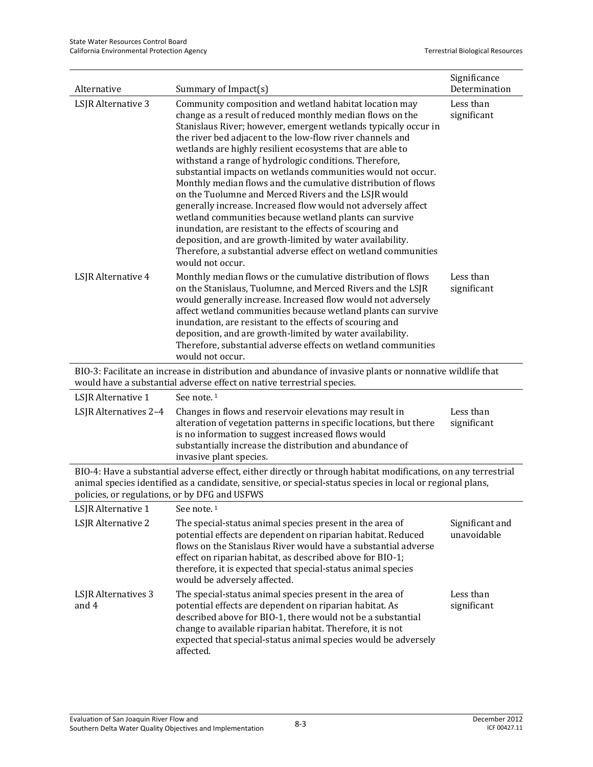| Alternative                                   | Summary of Impact(s)                                                                                                                                                                                                                                                                                                                                                                                                                                                                                                                                                                                                                                                                                                                                                                                                                                                                                          | Significance<br>Determination  |
|-----------------------------------------------|---------------------------------------------------------------------------------------------------------------------------------------------------------------------------------------------------------------------------------------------------------------------------------------------------------------------------------------------------------------------------------------------------------------------------------------------------------------------------------------------------------------------------------------------------------------------------------------------------------------------------------------------------------------------------------------------------------------------------------------------------------------------------------------------------------------------------------------------------------------------------------------------------------------|--------------------------------|
| LSJR Alternative 3                            | Community composition and wetland habitat location may<br>change as a result of reduced monthly median flows on the<br>Stanislaus River; however, emergent wetlands typically occur in<br>the river bed adjacent to the low-flow river channels and<br>wetlands are highly resilient ecosystems that are able to<br>withstand a range of hydrologic conditions. Therefore,<br>substantial impacts on wetlands communities would not occur.<br>Monthly median flows and the cumulative distribution of flows<br>on the Tuolumne and Merced Rivers and the LSJR would<br>generally increase. Increased flow would not adversely affect<br>wetland communities because wetland plants can survive<br>inundation, are resistant to the effects of scouring and<br>deposition, and are growth-limited by water availability.<br>Therefore, a substantial adverse effect on wetland communities<br>would not occur. | Less than<br>significant       |
| LSJR Alternative 4                            | Less than<br>significant                                                                                                                                                                                                                                                                                                                                                                                                                                                                                                                                                                                                                                                                                                                                                                                                                                                                                      |                                |
|                                               | BIO-3: Facilitate an increase in distribution and abundance of invasive plants or nonnative wildlife that<br>would have a substantial adverse effect on native terrestrial species.                                                                                                                                                                                                                                                                                                                                                                                                                                                                                                                                                                                                                                                                                                                           |                                |
| LSJR Alternative 1                            | See note. <sup>1</sup>                                                                                                                                                                                                                                                                                                                                                                                                                                                                                                                                                                                                                                                                                                                                                                                                                                                                                        |                                |
| LSJR Alternatives 2-4                         | Changes in flows and reservoir elevations may result in<br>alteration of vegetation patterns in specific locations, but there<br>is no information to suggest increased flows would<br>substantially increase the distribution and abundance of<br>invasive plant species.                                                                                                                                                                                                                                                                                                                                                                                                                                                                                                                                                                                                                                    | Less than<br>significant       |
| policies, or regulations, or by DFG and USFWS | BIO-4: Have a substantial adverse effect, either directly or through habitat modifications, on any terrestrial<br>animal species identified as a candidate, sensitive, or special-status species in local or regional plans,                                                                                                                                                                                                                                                                                                                                                                                                                                                                                                                                                                                                                                                                                  |                                |
| LSJR Alternative 1                            | See note. <sup>1</sup>                                                                                                                                                                                                                                                                                                                                                                                                                                                                                                                                                                                                                                                                                                                                                                                                                                                                                        |                                |
| LSJR Alternative 2                            | The special-status animal species present in the area of<br>potential effects are dependent on riparian habitat. Reduced<br>flows on the Stanislaus River would have a substantial adverse<br>effect on riparian habitat, as described above for BIO-1;<br>therefore, it is expected that special-status animal species<br>would be adversely affected.                                                                                                                                                                                                                                                                                                                                                                                                                                                                                                                                                       | Significant and<br>unavoidable |
| LSJR Alternatives 3<br>and 4                  | The special-status animal species present in the area of<br>potential effects are dependent on riparian habitat. As<br>described above for BIO-1, there would not be a substantial<br>change to available riparian habitat. Therefore, it is not<br>expected that special-status animal species would be adversely<br>affected.                                                                                                                                                                                                                                                                                                                                                                                                                                                                                                                                                                               | Less than<br>significant       |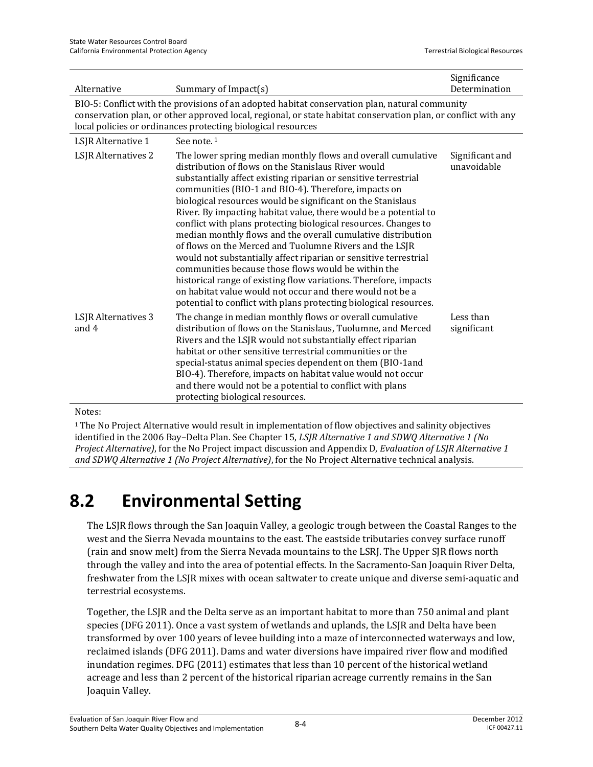| Alternative                                                                                                                                                                                                                                                                      | Summary of Impact(s)                                                                                                                                                                                                                                                                                                                                                                                                                                                                                                                                                                                                                                                                                                                                                                                                                                                                                             | Significance<br>Determination  |  |  |  |  |  |  |  |
|----------------------------------------------------------------------------------------------------------------------------------------------------------------------------------------------------------------------------------------------------------------------------------|------------------------------------------------------------------------------------------------------------------------------------------------------------------------------------------------------------------------------------------------------------------------------------------------------------------------------------------------------------------------------------------------------------------------------------------------------------------------------------------------------------------------------------------------------------------------------------------------------------------------------------------------------------------------------------------------------------------------------------------------------------------------------------------------------------------------------------------------------------------------------------------------------------------|--------------------------------|--|--|--|--|--|--|--|
| BIO-5: Conflict with the provisions of an adopted habitat conservation plan, natural community<br>conservation plan, or other approved local, regional, or state habitat conservation plan, or conflict with any<br>local policies or ordinances protecting biological resources |                                                                                                                                                                                                                                                                                                                                                                                                                                                                                                                                                                                                                                                                                                                                                                                                                                                                                                                  |                                |  |  |  |  |  |  |  |
| LSJR Alternative 1                                                                                                                                                                                                                                                               | See note. <sup>1</sup>                                                                                                                                                                                                                                                                                                                                                                                                                                                                                                                                                                                                                                                                                                                                                                                                                                                                                           |                                |  |  |  |  |  |  |  |
| <b>LSJR</b> Alternatives 2                                                                                                                                                                                                                                                       | The lower spring median monthly flows and overall cumulative<br>distribution of flows on the Stanislaus River would<br>substantially affect existing riparian or sensitive terrestrial<br>communities (BIO-1 and BIO-4). Therefore, impacts on<br>biological resources would be significant on the Stanislaus<br>River. By impacting habitat value, there would be a potential to<br>conflict with plans protecting biological resources. Changes to<br>median monthly flows and the overall cumulative distribution<br>of flows on the Merced and Tuolumne Rivers and the LSJR<br>would not substantially affect riparian or sensitive terrestrial<br>communities because those flows would be within the<br>historical range of existing flow variations. Therefore, impacts<br>on habitat value would not occur and there would not be a<br>potential to conflict with plans protecting biological resources. | Significant and<br>unavoidable |  |  |  |  |  |  |  |
| <b>LSJR</b> Alternatives 3<br>and 4                                                                                                                                                                                                                                              | The change in median monthly flows or overall cumulative<br>distribution of flows on the Stanislaus, Tuolumne, and Merced<br>Rivers and the LSJR would not substantially effect riparian<br>habitat or other sensitive terrestrial communities or the<br>special-status animal species dependent on them (BIO-1and<br>BIO-4). Therefore, impacts on habitat value would not occur<br>and there would not be a potential to conflict with plans<br>protecting biological resources.                                                                                                                                                                                                                                                                                                                                                                                                                               | Less than<br>significant       |  |  |  |  |  |  |  |

#### Notes:

1 The No Project Alternative would result in implementation of flow objectives and salinity objectives identified in the 2006 Bay–Delta Plan. See Chapter 15, *LSJR Alternative 1 and SDWQ Alternative 1 (No Project Alternative)*, for the No Project impact discussion and Appendix D, *Evaluation of LSJR Alternative 1 and SDWQ Alternative 1 (No Project Alternative)*, for the No Project Alternative technical analysis.

# **8.2 Environmental Setting**

The LSJR flows through the San Joaquin Valley, a geologic trough between the Coastal Ranges to the west and the Sierra Nevada mountains to the east. The eastside tributaries convey surface runoff (rain and snow melt) from the Sierra Nevada mountains to the LSRJ. The Upper SJR flows north through the valley and into the area of potential effects. In the Sacramento-San Joaquin River Delta, freshwater from the LSJR mixes with ocean saltwater to create unique and diverse semi-aquatic and terrestrial ecosystems.

Together, the LSJR and the Delta serve as an important habitat to more than 750 animal and plant species (DFG 2011). Once a vast system of wetlands and uplands, the LSJR and Delta have been transformed by over 100 years of levee building into a maze of interconnected waterways and low, reclaimed islands (DFG 2011). Dams and water diversions have impaired river flow and modified inundation regimes. DFG (2011) estimates that less than 10 percent of the historical wetland acreage and less than 2 percent of the historical riparian acreage currently remains in the San Joaquin Valley.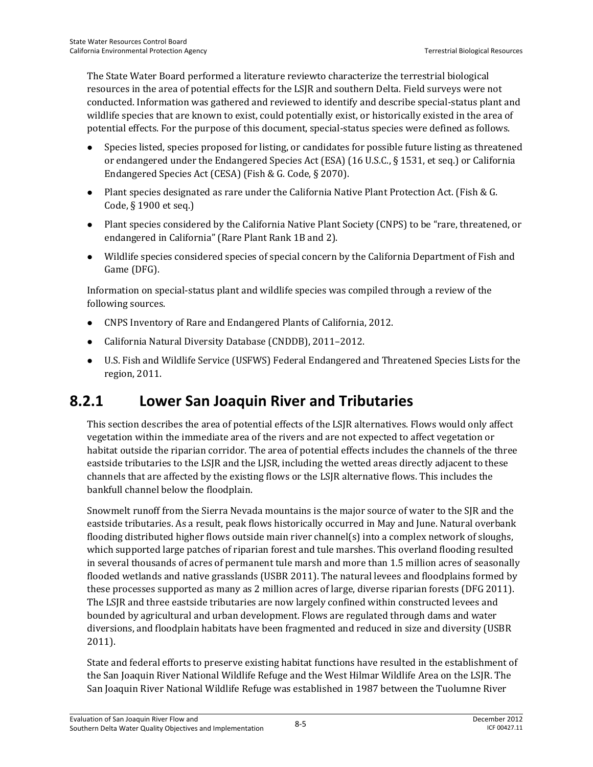The State Water Board performed a literature reviewto characterize the terrestrial biological resources in the area of potential effects for the LSJR and southern Delta. Field surveys were not conducted. Information was gathered and reviewed to identify and describe special-status plant and wildlife species that are known to exist, could potentially exist, or historically existed in the area of potential effects. For the purpose of this document, special-status species were defined as follows.

- Species listed, species proposed for listing, or candidates for possible future listing as threatened or endangered under the Endangered Species Act (ESA) (16 U.S.C., § 1531, et seq.) or California Endangered Species Act (CESA) (Fish & G. Code, § 2070).
- Plant species designated as rare under the California Native Plant Protection Act. (Fish & G. Code, § 1900 et seq.)
- Plant species considered by the California Native Plant Society (CNPS) to be "rare, threatened, or endangered in California" (Rare Plant Rank 1B and 2).
- Wildlife species considered species of special concern by the California Department of Fish and Game (DFG).

Information on special-status plant and wildlife species was compiled through a review of the following sources.

- CNPS Inventory of Rare and Endangered Plants of California, 2012.
- California Natural Diversity Database (CNDDB), 2011–2012.
- U.S. Fish and Wildlife Service (USFWS) Federal Endangered and Threatened Species Lists for the region, 2011.

# **8.2.1 Lower San Joaquin River and Tributaries**

This section describes the area of potential effects of the LSJR alternatives. Flows would only affect vegetation within the immediate area of the rivers and are not expected to affect vegetation or habitat outside the riparian corridor. The area of potential effects includes the channels of the three eastside tributaries to the LSJR and the LJSR, including the wetted areas directly adjacent to these channels that are affected by the existing flows or the LSJR alternative flows. This includes the bankfull channel below the floodplain.

Snowmelt runoff from the Sierra Nevada mountains is the major source of water to the SJR and the eastside tributaries. As a result, peak flows historically occurred in May and June. Natural overbank flooding distributed higher flows outside main river channel(s) into a complex network of sloughs, which supported large patches of riparian forest and tule marshes. This overland flooding resulted in several thousands of acres of permanent tule marsh and more than 1.5 million acres of seasonally flooded wetlands and native grasslands (USBR 2011). The natural levees and floodplains formed by these processes supported as many as 2 million acres of large, diverse riparian forests (DFG 2011). The LSJR and three eastside tributaries are now largely confined within constructed levees and bounded by agricultural and urban development. Flows are regulated through dams and water diversions, and floodplain habitats have been fragmented and reduced in size and diversity (USBR 2011).

State and federal efforts to preserve existing habitat functions have resulted in the establishment of the San Joaquin River National Wildlife Refuge and the West Hilmar Wildlife Area on the LSJR. The San Joaquin River National Wildlife Refuge was established in 1987 between the Tuolumne River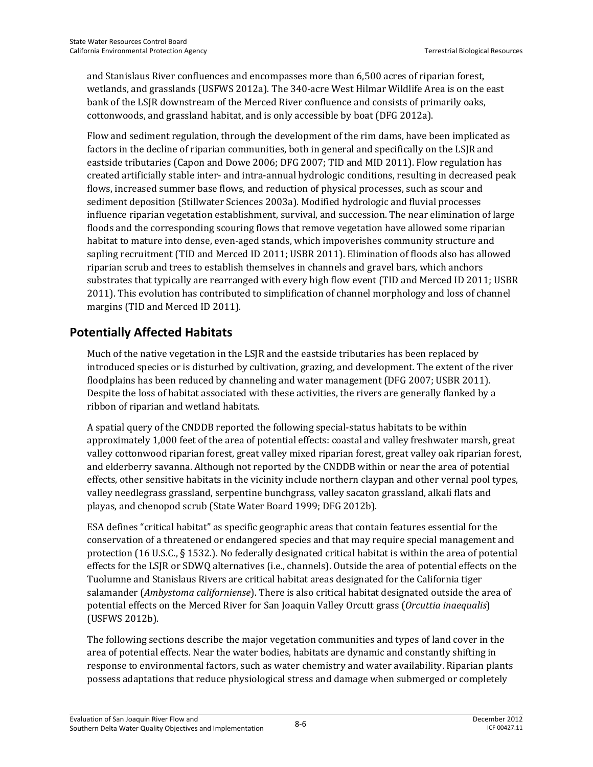and Stanislaus River confluences and encompasses more than 6,500 acres of riparian forest, wetlands, and grasslands (USFWS 2012a). The 340-acre West Hilmar Wildlife Area is on the east bank of the LSJR downstream of the Merced River confluence and consists of primarily oaks, cottonwoods, and grassland habitat, and is only accessible by boat (DFG 2012a).

Flow and sediment regulation, through the development of the rim dams, have been implicated as factors in the decline of riparian communities, both in general and specifically on the LSJR and eastside tributaries (Capon and Dowe 2006; DFG 2007; TID and MID 2011). Flow regulation has created artificially stable inter- and intra-annual hydrologic conditions, resulting in decreased peak flows, increased summer base flows, and reduction of physical processes, such as scour and sediment deposition (Stillwater Sciences 2003a). Modified hydrologic and fluvial processes influence riparian vegetation establishment, survival, and succession. The near elimination of large floods and the corresponding scouring flows that remove vegetation have allowed some riparian habitat to mature into dense, even-aged stands, which impoverishes community structure and sapling recruitment (TID and Merced ID 2011; USBR 2011). Elimination of floods also has allowed riparian scrub and trees to establish themselves in channels and gravel bars, which anchors substrates that typically are rearranged with every high flow event (TID and Merced ID 2011; USBR 2011). This evolution has contributed to simplification of channel morphology and loss of channel margins (TID and Merced ID 2011).

## **Potentially Affected Habitats**

Much of the native vegetation in the LSJR and the eastside tributaries has been replaced by introduced species or is disturbed by cultivation, grazing, and development. The extent of the river floodplains has been reduced by channeling and water management (DFG 2007; USBR 2011). Despite the loss of habitat associated with these activities, the rivers are generally flanked by a ribbon of riparian and wetland habitats.

A spatial query of the CNDDB reported the following special-status habitats to be within approximately 1,000 feet of the area of potential effects: coastal and valley freshwater marsh, great valley cottonwood riparian forest, great valley mixed riparian forest, great valley oak riparian forest, and elderberry savanna. Although not reported by the CNDDB within or near the area of potential effects, other sensitive habitats in the vicinity include northern claypan and other vernal pool types, valley needlegrass grassland, serpentine bunchgrass, valley sacaton grassland, alkali flats and playas, and chenopod scrub (State Water Board 1999; DFG 2012b).

ESA defines "critical habitat" as specific geographic areas that contain features essential for the conservation of a threatened or endangered species and that may require special management and protection (16 U.S.C., § 1532.). No federally designated critical habitat is within the area of potential effects for the LSJR or SDWQ alternatives (i.e., channels). Outside the area of potential effects on the Tuolumne and Stanislaus Rivers are critical habitat areas designated for the California tiger salamander (*Ambystoma californiense*). There is also critical habitat designated outside the area of potential effects on the Merced River for San Joaquin Valley Orcutt grass (*Orcuttia inaequalis*) (USFWS 2012b).

The following sections describe the major vegetation communities and types of land cover in the area of potential effects. Near the water bodies, habitats are dynamic and constantly shifting in response to environmental factors, such as water chemistry and water availability. Riparian plants possess adaptations that reduce physiological stress and damage when submerged or completely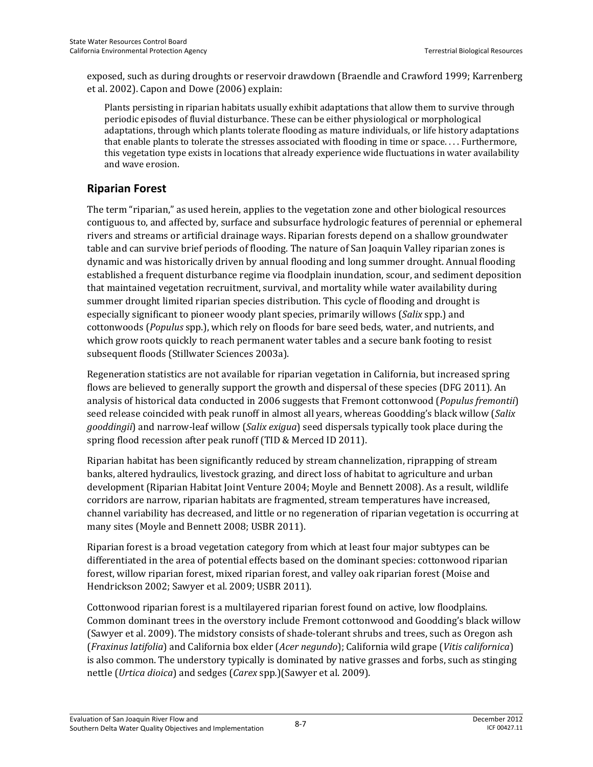exposed, such as during droughts or reservoir drawdown (Braendle and Crawford 1999; Karrenberg et al. 2002). Capon and Dowe (2006) explain:

Plants persisting in riparian habitats usually exhibit adaptations that allow them to survive through periodic episodes of fluvial disturbance. These can be either physiological or morphological adaptations, through which plants tolerate flooding as mature individuals, or life history adaptations that enable plants to tolerate the stresses associated with flooding in time or space. . . . Furthermore, this vegetation type exists in locations that already experience wide fluctuations in water availability and wave erosion.

### **Riparian Forest**

The term "riparian," as used herein, applies to the vegetation zone and other biological resources contiguous to, and affected by, surface and subsurface hydrologic features of perennial or ephemeral rivers and streams or artificial drainage ways. Riparian forests depend on a shallow groundwater table and can survive brief periods of flooding. The nature of San Joaquin Valley riparian zones is dynamic and was historically driven by annual flooding and long summer drought. Annual flooding established a frequent disturbance regime via floodplain inundation, scour, and sediment deposition that maintained vegetation recruitment, survival, and mortality while water availability during summer drought limited riparian species distribution. This cycle of flooding and drought is especially significant to pioneer woody plant species, primarily willows (*Salix* spp.) and cottonwoods (*Populus* spp.), which rely on floods for bare seed beds, water, and nutrients, and which grow roots quickly to reach permanent water tables and a secure bank footing to resist subsequent floods (Stillwater Sciences 2003a).

Regeneration statistics are not available for riparian vegetation in California, but increased spring flows are believed to generally support the growth and dispersal of these species (DFG 2011). An analysis of historical data conducted in 2006 suggests that Fremont cottonwood (*Populus fremontii*) seed release coincided with peak runoff in almost all years, whereas Goodding's black willow (*Salix gooddingii*) and narrow-leaf willow (*Salix exigua*) seed dispersals typically took place during the spring flood recession after peak runoff (TID & Merced ID 2011).

Riparian habitat has been significantly reduced by stream channelization, riprapping of stream banks, altered hydraulics, livestock grazing, and direct loss of habitat to agriculture and urban development (Riparian Habitat Joint Venture 2004; Moyle and Bennett 2008). As a result, wildlife corridors are narrow, riparian habitats are fragmented, stream temperatures have increased, channel variability has decreased, and little or no regeneration of riparian vegetation is occurring at many sites (Moyle and Bennett 2008; USBR 2011).

Riparian forest is a broad vegetation category from which at least four major subtypes can be differentiated in the area of potential effects based on the dominant species: cottonwood riparian forest, willow riparian forest, mixed riparian forest, and valley oak riparian forest (Moise and Hendrickson 2002; Sawyer et al. 2009; USBR 2011).

Cottonwood riparian forest is a multilayered riparian forest found on active, low floodplains. Common dominant trees in the overstory include Fremont cottonwood and Goodding's black willow (Sawyer et al. 2009). The midstory consists of shade-tolerant shrubs and trees, such as Oregon ash (*Fraxinus latifolia*) and California box elder (*Acer negundo*); California wild grape (*Vitis californica*) is also common. The understory typically is dominated by native grasses and forbs, such as stinging nettle (*Urtica dioica*) and sedges (*Carex* spp*.*)(Sawyer et al. 2009).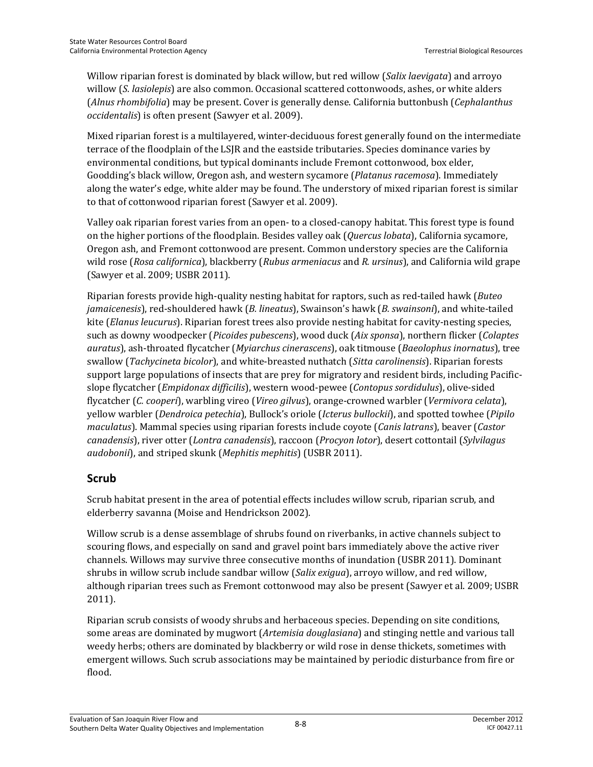Willow riparian forest is dominated by black willow, but red willow (*Salix laevigata*) and arroyo willow (*S. lasiolepis*) are also common. Occasional scattered cottonwoods, ashes, or white alders (*Alnus rhombifolia*) may be present. Cover is generally dense. California buttonbush (*Cephalanthus occidentalis*) is often present (Sawyer et al. 2009).

Mixed riparian forest is a multilayered, winter-deciduous forest generally found on the intermediate terrace of the floodplain of the LSJR and the eastside tributaries. Species dominance varies by environmental conditions, but typical dominants include Fremont cottonwood, box elder, Goodding's black willow, Oregon ash, and western sycamore (*Platanus racemosa*). Immediately along the water's edge, white alder may be found. The understory of mixed riparian forest is similar to that of cottonwood riparian forest (Sawyer et al. 2009).

Valley oak riparian forest varies from an open- to a closed-canopy habitat. This forest type is found on the higher portions of the floodplain. Besides valley oak (*Quercus lobata*), California sycamore, Oregon ash, and Fremont cottonwood are present. Common understory species are the California wild rose (*Rosa californica*), blackberry (*Rubus armeniacus* and *R. ursinus*), and California wild grape (Sawyer et al. 2009; USBR 2011).

Riparian forests provide high-quality nesting habitat for raptors, such as red-tailed hawk (*Buteo jamaicenesis*), red-shouldered hawk (*B. lineatus*), Swainson's hawk (*B. swainsoni*), and white-tailed kite (*Elanus leucurus*). Riparian forest trees also provide nesting habitat for cavity-nesting species, such as downy woodpecker (*Picoides pubescens*), wood duck (*Aix sponsa*), northern flicker (*Colaptes auratus*), ash-throated flycatcher (*Myiarchus cinerascens*), oak titmouse (*Baeolophus inornatus*), tree swallow (*Tachycineta bicolor*), and white-breasted nuthatch (*Sitta carolinensis*). Riparian forests support large populations of insects that are prey for migratory and resident birds, including Pacificslope flycatcher (*Empidonax difficilis*), western wood-pewee (*Contopus sordidulus*), olive-sided flycatcher (*C. cooperi*), warbling vireo (*Vireo gilvus*), orange-crowned warbler (*Vermivora celata*), yellow warbler (*Dendroica petechia*), Bullock's oriole (*Icterus bullockii*), and spotted towhee (*Pipilo maculatus*). Mammal species using riparian forests include coyote (*Canis latrans*), beaver (*Castor canadensis*), river otter (*Lontra canadensis*), raccoon (*Procyon lotor*), desert cottontail (*Sylvilagus audobonii*), and striped skunk (*Mephitis mephitis*) (USBR 2011).

#### **Scrub**

Scrub habitat present in the area of potential effects includes willow scrub, riparian scrub, and elderberry savanna (Moise and Hendrickson 2002).

Willow scrub is a dense assemblage of shrubs found on riverbanks, in active channels subject to scouring flows, and especially on sand and gravel point bars immediately above the active river channels. Willows may survive three consecutive months of inundation (USBR 2011). Dominant shrubs in willow scrub include sandbar willow (*Salix exigua*), arroyo willow, and red willow, although riparian trees such as Fremont cottonwood may also be present (Sawyer et al. 2009; USBR 2011).

Riparian scrub consists of woody shrubs and herbaceous species. Depending on site conditions, some areas are dominated by mugwort (*Artemisia douglasiana*) and stinging nettle and various tall weedy herbs; others are dominated by blackberry or wild rose in dense thickets, sometimes with emergent willows. Such scrub associations may be maintained by periodic disturbance from fire or flood.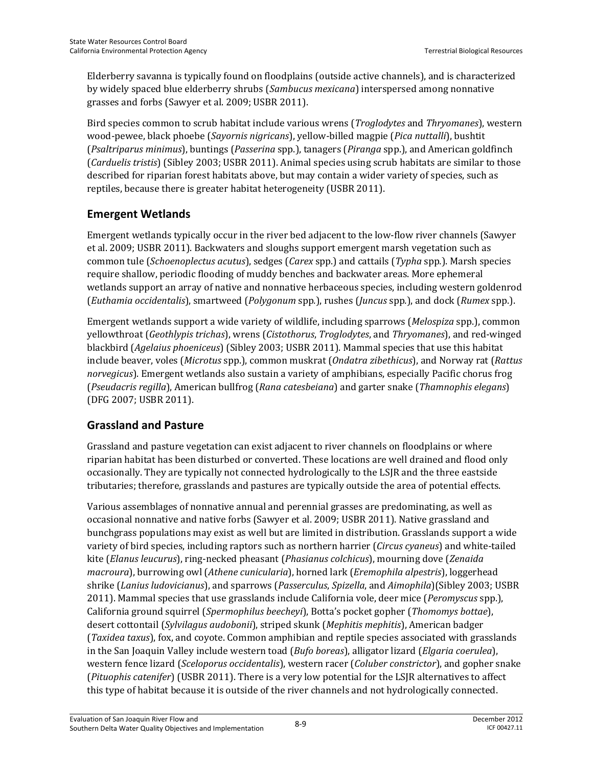Elderberry savanna is typically found on floodplains (outside active channels), and is characterized by widely spaced blue elderberry shrubs (*Sambucus mexicana*) interspersed among nonnative grasses and forbs (Sawyer et al. 2009; USBR 2011).

Bird species common to scrub habitat include various wrens (*Troglodytes* and *Thryomanes*), western wood-pewee, black phoebe (*Sayornis nigricans*), yellow-billed magpie (*Pica nuttalli*), bushtit (*Psaltriparus minimus*), buntings (*Passerina* spp.), tanagers (*Piranga* spp.), and American goldfinch (*Carduelis tristis*) (Sibley 2003; USBR 2011). Animal species using scrub habitats are similar to those described for riparian forest habitats above, but may contain a wider variety of species, such as reptiles, because there is greater habitat heterogeneity (USBR 2011).

## **Emergent Wetlands**

Emergent wetlands typically occur in the river bed adjacent to the low-flow river channels (Sawyer et al. 2009; USBR 2011). Backwaters and sloughs support emergent marsh vegetation such as common tule (*Schoenoplectus acutus*), sedges (*Carex* spp.) and cattails (*Typha* spp*.*). Marsh species require shallow, periodic flooding of muddy benches and backwater areas. More ephemeral wetlands support an array of native and nonnative herbaceous species, including western goldenrod (*Euthamia occidentalis*), smartweed (*Polygonum* spp*.*), rushes (*Juncus* spp*.*), and dock (*Rumex* spp.).

Emergent wetlands support a wide variety of wildlife, including sparrows (*Melospiza* spp.), common yellowthroat (*Geothlypis trichas*), wrens (*Cistothorus*, *Troglodytes*, and *Thryomanes*), and red-winged blackbird (*Agelaius phoeniceus*) (Sibley 2003; USBR 2011). Mammal species that use this habitat include beaver, voles (*Microtus* spp.), common muskrat (*Ondatra zibethicus*), and Norway rat (*Rattus norvegicus*). Emergent wetlands also sustain a variety of amphibians, especially Pacific chorus frog (*Pseudacris regilla*), American bullfrog (*Rana catesbeiana*) and garter snake (*Thamnophis elegans*) (DFG 2007; USBR 2011).

#### **Grassland and Pasture**

Grassland and pasture vegetation can exist adjacent to river channels on floodplains or where riparian habitat has been disturbed or converted. These locations are well drained and flood only occasionally. They are typically not connected hydrologically to the LSJR and the three eastside tributaries; therefore, grasslands and pastures are typically outside the area of potential effects.

Various assemblages of nonnative annual and perennial grasses are predominating, as well as occasional nonnative and native forbs (Sawyer et al. 2009; USBR 2011). Native grassland and bunchgrass populations may exist as well but are limited in distribution. Grasslands support a wide variety of bird species, including raptors such as northern harrier (*Circus cyaneus*) and white-tailed kite (*Elanus leucurus*), ring-necked pheasant (*Phasianus colchicus*), mourning dove (*Zenaida macroura*), burrowing owl (*Athene cunicularia*), horned lark (*Eremophila alpestris*), loggerhead shrike (*Lanius ludovicianus*), and sparrows (*Passerculus*, *Spizella*, and *Aimophila*)(Sibley 2003; USBR 2011). Mammal species that use grasslands include California vole, deer mice (*Peromyscus* spp.), California ground squirrel (*Spermophilus beecheyi*), Botta's pocket gopher (*Thomomys bottae*), desert cottontail (*Sylvilagus audobonii*), striped skunk (*Mephitis mephitis*), American badger (*Taxidea taxus*), fox, and coyote. Common amphibian and reptile species associated with grasslands in the San Joaquin Valley include western toad (*Bufo boreas*), alligator lizard (*Elgaria coerulea*), western fence lizard (*Sceloporus occidentalis*), western racer (*Coluber constrictor*), and gopher snake (*Pituophis catenifer*) (USBR 2011). There is a very low potential for the LSJR alternatives to affect this type of habitat because it is outside of the river channels and not hydrologically connected.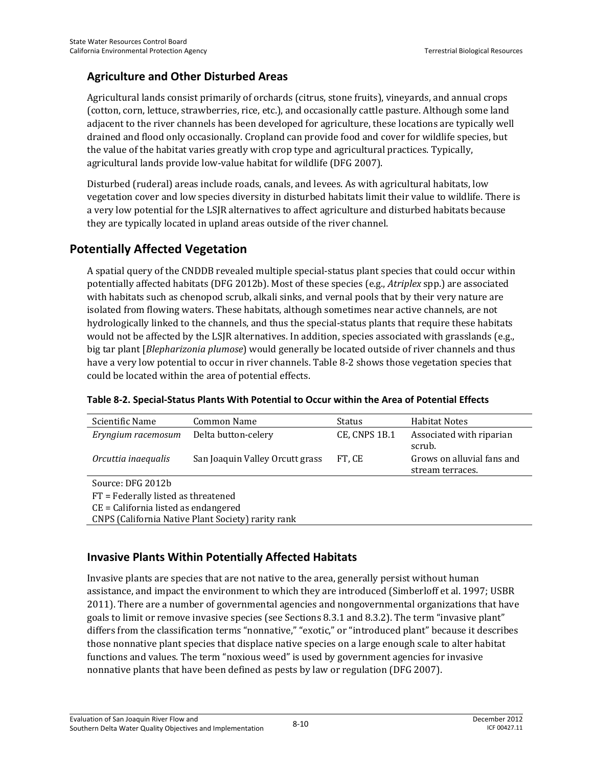### **Agriculture and Other Disturbed Areas**

Agricultural lands consist primarily of orchards (citrus, stone fruits), vineyards, and annual crops (cotton, corn, lettuce, strawberries, rice, etc.), and occasionally cattle pasture. Although some land adjacent to the river channels has been developed for agriculture, these locations are typically well drained and flood only occasionally. Cropland can provide food and cover for wildlife species, but the value of the habitat varies greatly with crop type and agricultural practices. Typically, agricultural lands provide low-value habitat for wildlife (DFG 2007).

Disturbed (ruderal) areas include roads, canals, and levees. As with agricultural habitats, low vegetation cover and low species diversity in disturbed habitats limit their value to wildlife. There is a very low potential for the LSJR alternatives to affect agriculture and disturbed habitats because they are typically located in upland areas outside of the river channel.

# **Potentially Affected Vegetation**

A spatial query of the CNDDB revealed multiple special-status plant species that could occur within potentially affected habitats (DFG 2012b). Most of these species (e.g., *Atriplex* spp.) are associated with habitats such as chenopod scrub, alkali sinks, and vernal pools that by their very nature are isolated from flowing waters. These habitats, although sometimes near active channels, are not hydrologically linked to the channels, and thus the special-status plants that require these habitats would not be affected by the LSJR alternatives. In addition, species associated with grasslands (e.g., big tar plant [*Blepharizonia plumose*) would generally be located outside of river channels and thus have a very low potential to occur in river channels. Table 8-2 shows those vegetation species that could be located within the area of potential effects.

| Scientific Name                                    | <b>Common Name</b>              | Status        | <b>Habitat Notes</b>                           |  |  |  |  |  |  |  |
|----------------------------------------------------|---------------------------------|---------------|------------------------------------------------|--|--|--|--|--|--|--|
| Eryngium racemosum                                 | Delta button-celery             | CE, CNPS 1B.1 | Associated with riparian<br>scrub.             |  |  |  |  |  |  |  |
| Orcuttia inaequalis                                | San Joaquin Valley Orcutt grass | FT, CE        | Grows on alluvial fans and<br>stream terraces. |  |  |  |  |  |  |  |
| Source: DFG 2012b                                  |                                 |               |                                                |  |  |  |  |  |  |  |
| FT = Federally listed as threatened                |                                 |               |                                                |  |  |  |  |  |  |  |
| $CE = California$ listed as endangered             |                                 |               |                                                |  |  |  |  |  |  |  |
| CNPS (California Native Plant Society) rarity rank |                                 |               |                                                |  |  |  |  |  |  |  |

| Table 8-2. Special-Status Plants With Potential to Occur within the Area of Potential Effects |  |
|-----------------------------------------------------------------------------------------------|--|
|-----------------------------------------------------------------------------------------------|--|

# **Invasive Plants Within Potentially Affected Habitats**

Invasive plants are species that are not native to the area, generally persist without human assistance, and impact the environment to which they are introduced (Simberloff et al. 1997; USBR 2011). There are a number of governmental agencies and nongovernmental organizations that have goals to limit or remove invasive species (see Sections 8.3.1 and 8.3.2). The term "invasive plant" differs from the classification terms "nonnative," "exotic," or "introduced plant" because it describes those nonnative plant species that displace native species on a large enough scale to alter habitat functions and values. The term "noxious weed" is used by government agencies for invasive nonnative plants that have been defined as pests by law or regulation (DFG 2007).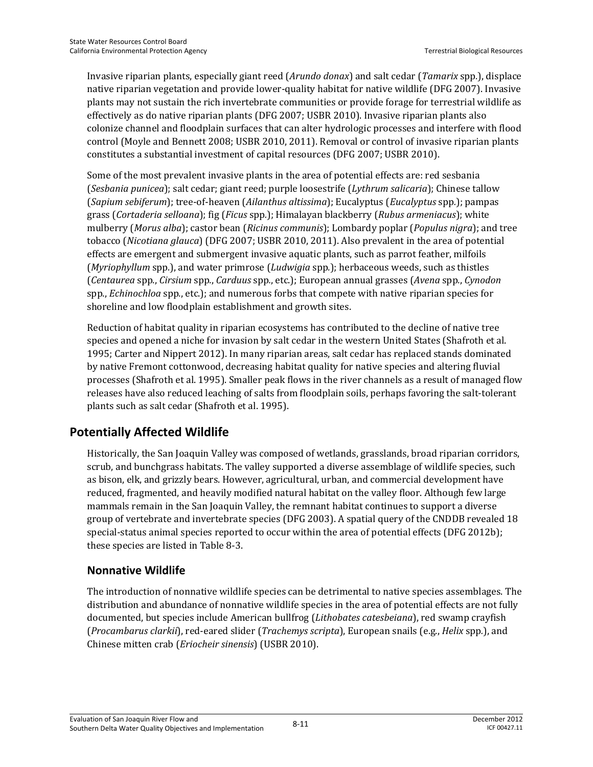Invasive riparian plants, especially giant reed (*Arundo donax*) and salt cedar (*Tamarix* spp*.*), displace native riparian vegetation and provide lower-quality habitat for native wildlife (DFG 2007). Invasive plants may not sustain the rich invertebrate communities or provide forage for terrestrial wildlife as effectively as do native riparian plants (DFG 2007; USBR 2010). Invasive riparian plants also colonize channel and floodplain surfaces that can alter hydrologic processes and interfere with flood control (Moyle and Bennett 2008; USBR 2010, 2011). Removal or control of invasive riparian plants constitutes a substantial investment of capital resources (DFG 2007; USBR 2010).

Some of the most prevalent invasive plants in the area of potential effects are: red sesbania (*Sesbania punicea*); salt cedar; giant reed; purple loosestrife (*Lythrum salicaria*); Chinese tallow (*Sapium sebiferum*); tree-of-heaven (*Ailanthus altissima*); Eucalyptus (*Eucalyptus* spp*.*); pampas grass (*Cortaderia selloana*); fig (*Ficus* spp*.*); Himalayan blackberry (*Rubus armeniacus*); white mulberry (*Morus alba*); castor bean (*Ricinus communis*); Lombardy poplar (*Populus nigra*); and tree tobacco (*Nicotiana glauca*) (DFG 2007; USBR 2010, 2011). Also prevalent in the area of potential effects are emergent and submergent invasive aquatic plants, such as parrot feather, milfoils (*Myriophyllum* spp*.*), and water primrose (*Ludwigia* spp*.*); herbaceous weeds, such as thistles (*Centaurea* spp*.*, *Cirsium* spp*.*, *Carduus* spp*.*, etc.); European annual grasses (*Avena* spp*.*, *Cynodon*  spp*.*, *Echinochloa* spp*.*, etc.); and numerous forbs that compete with native riparian species for shoreline and low floodplain establishment and growth sites.

Reduction of habitat quality in riparian ecosystems has contributed to the decline of native tree species and opened a niche for invasion by salt cedar in the western United States (Shafroth et al. 1995; Carter and Nippert 2012). In many riparian areas, salt cedar has replaced stands dominated by native Fremont cottonwood, decreasing habitat quality for native species and altering fluvial processes (Shafroth et al. 1995). Smaller peak flows in the river channels as a result of managed flow releases have also reduced leaching of salts from floodplain soils, perhaps favoring the salt-tolerant plants such as salt cedar (Shafroth et al. 1995).

## **Potentially Affected Wildlife**

Historically, the San Joaquin Valley was composed of wetlands, grasslands, broad riparian corridors, scrub, and bunchgrass habitats. The valley supported a diverse assemblage of wildlife species, such as bison, elk, and grizzly bears. However, agricultural, urban, and commercial development have reduced, fragmented, and heavily modified natural habitat on the valley floor. Although few large mammals remain in the San Joaquin Valley, the remnant habitat continues to support a diverse group of vertebrate and invertebrate species (DFG 2003). A spatial query of the CNDDB revealed 18 special-status animal species reported to occur within the area of potential effects (DFG 2012b); these species are listed in Table 8-3.

#### **Nonnative Wildlife**

The introduction of nonnative wildlife species can be detrimental to native species assemblages. The distribution and abundance of nonnative wildlife species in the area of potential effects are not fully documented, but species include American bullfrog (*Lithobates catesbeiana*), red swamp crayfish (*Procambarus clarkii*), red-eared slider (*Trachemys scripta*), European snails (e.g., *Helix* spp*.*), and Chinese mitten crab (*Eriocheir sinensis*) (USBR 2010).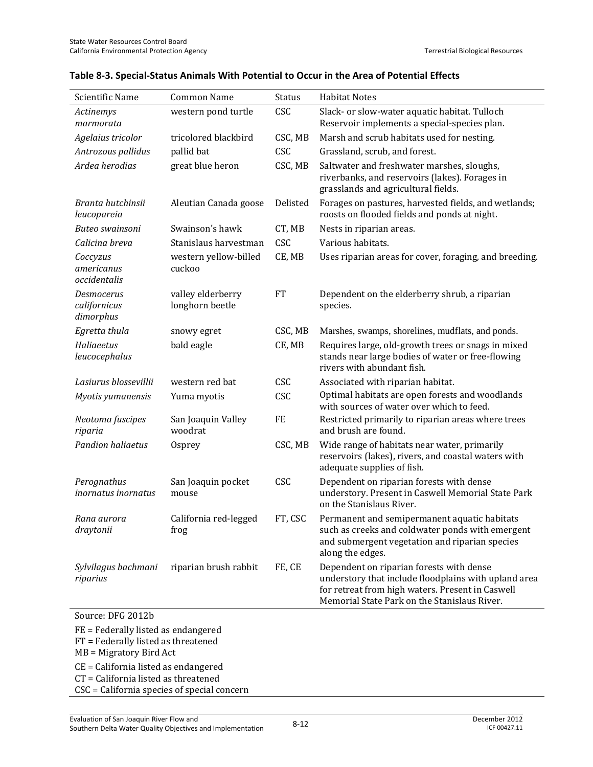| Scientific Name                         | <b>Common Name</b>                   | <b>Status</b> | <b>Habitat Notes</b>                                                                                                                                                                                 |
|-----------------------------------------|--------------------------------------|---------------|------------------------------------------------------------------------------------------------------------------------------------------------------------------------------------------------------|
| Actinemys<br>marmorata                  | western pond turtle                  | CSC           | Slack- or slow-water aquatic habitat. Tulloch<br>Reservoir implements a special-species plan.                                                                                                        |
| Agelaius tricolor                       | tricolored blackbird                 | CSC, MB       | Marsh and scrub habitats used for nesting.                                                                                                                                                           |
| Antrozous pallidus                      | pallid bat                           | <b>CSC</b>    | Grassland, scrub, and forest.                                                                                                                                                                        |
| Ardea herodias                          | great blue heron                     | CSC, MB       | Saltwater and freshwater marshes, sloughs,<br>riverbanks, and reservoirs (lakes). Forages in<br>grasslands and agricultural fields.                                                                  |
| Branta hutchinsii<br>leucopareia        | Aleutian Canada goose                | Delisted      | Forages on pastures, harvested fields, and wetlands;<br>roosts on flooded fields and ponds at night.                                                                                                 |
| Buteo swainsoni                         | Swainson's hawk                      | CT, MB        | Nests in riparian areas.                                                                                                                                                                             |
| Calicina breva                          | Stanislaus harvestman                | CSC           | Various habitats.                                                                                                                                                                                    |
| Coccyzus<br>americanus<br>occidentalis  | western yellow-billed<br>cuckoo      | CE, MB        | Uses riparian areas for cover, foraging, and breeding.                                                                                                                                               |
| Desmocerus<br>californicus<br>dimorphus | valley elderberry<br>longhorn beetle | <b>FT</b>     | Dependent on the elderberry shrub, a riparian<br>species.                                                                                                                                            |
| Egretta thula                           | snowy egret                          | CSC, MB       | Marshes, swamps, shorelines, mudflats, and ponds.                                                                                                                                                    |
| Haliaeetus<br>leucocephalus             | bald eagle                           | CE, MB        | Requires large, old-growth trees or snags in mixed<br>stands near large bodies of water or free-flowing<br>rivers with abundant fish.                                                                |
| Lasiurus blossevillii                   | western red bat                      | CSC           | Associated with riparian habitat.                                                                                                                                                                    |
| Myotis yumanensis                       | Yuma myotis                          | CSC           | Optimal habitats are open forests and woodlands<br>with sources of water over which to feed.                                                                                                         |
| Neotoma fuscipes<br>riparia             | San Joaquin Valley<br>woodrat        | FE            | Restricted primarily to riparian areas where trees<br>and brush are found.                                                                                                                           |
| Pandion haliaetus                       | Osprey                               | CSC, MB       | Wide range of habitats near water, primarily<br>reservoirs (lakes), rivers, and coastal waters with<br>adequate supplies of fish.                                                                    |
| Perognathus<br>inornatus inornatus      | San Joaquin pocket<br>mouse          | CSC           | Dependent on riparian forests with dense<br>understory. Present in Caswell Memorial State Park<br>on the Stanislaus River.                                                                           |
| Rana aurora<br>draytonii                | California red-legged<br>frog        | FT, CSC       | Permanent and semipermanent aquatic habitats<br>such as creeks and coldwater ponds with emergent<br>and submergent vegetation and riparian species<br>along the edges.                               |
| Sylvilagus bachmani<br>riparius         | riparian brush rabbit                | FE, CE        | Dependent on riparian forests with dense<br>understory that include floodplains with upland area<br>for retreat from high waters. Present in Caswell<br>Memorial State Park on the Stanislaus River. |
| Source: DFG 2012b                       |                                      |               |                                                                                                                                                                                                      |
| $FF = Federsllv listed$ as endangered   |                                      |               |                                                                                                                                                                                                      |

#### **Table 8-3. Special-Status Animals With Potential to Occur in the Area of Potential Effects**

FE = Federally listed as endangered

FT = Federally listed as threatened

MB = Migratory Bird Act

CE = California listed as endangered CT = California listed as threatened

CSC = California species of special concern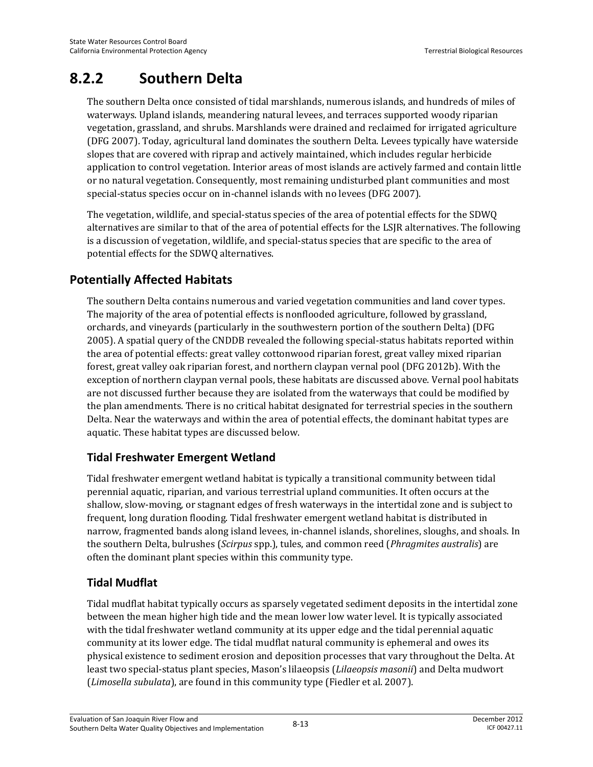# **8.2.2 Southern Delta**

The southern Delta once consisted of tidal marshlands, numerous islands, and hundreds of miles of waterways. Upland islands, meandering natural levees, and terraces supported woody riparian vegetation, grassland, and shrubs. Marshlands were drained and reclaimed for irrigated agriculture (DFG 2007). Today, agricultural land dominates the southern Delta. Levees typically have waterside slopes that are covered with riprap and actively maintained, which includes regular herbicide application to control vegetation. Interior areas of most islands are actively farmed and contain little or no natural vegetation. Consequently, most remaining undisturbed plant communities and most special-status species occur on in-channel islands with no levees (DFG 2007).

The vegetation, wildlife, and special-status species of the area of potential effects for the SDWQ alternatives are similar to that of the area of potential effects for the LSJR alternatives. The following is a discussion of vegetation, wildlife, and special-status species that are specific to the area of potential effects for the SDWQ alternatives.

# **Potentially Affected Habitats**

The southern Delta contains numerous and varied vegetation communities and land cover types. The majority of the area of potential effects is nonflooded agriculture, followed by grassland, orchards, and vineyards (particularly in the southwestern portion of the southern Delta) (DFG 2005). A spatial query of the CNDDB revealed the following special-status habitats reported within the area of potential effects: great valley cottonwood riparian forest, great valley mixed riparian forest, great valley oak riparian forest, and northern claypan vernal pool (DFG 2012b). With the exception of northern claypan vernal pools, these habitats are discussed above. Vernal pool habitats are not discussed further because they are isolated from the waterways that could be modified by the plan amendments. There is no critical habitat designated for terrestrial species in the southern Delta. Near the waterways and within the area of potential effects, the dominant habitat types are aquatic. These habitat types are discussed below.

## **Tidal Freshwater Emergent Wetland**

Tidal freshwater emergent wetland habitat is typically a transitional community between tidal perennial aquatic, riparian, and various terrestrial upland communities. It often occurs at the shallow, slow-moving, or stagnant edges of fresh waterways in the intertidal zone and is subject to frequent, long duration flooding. Tidal freshwater emergent wetland habitat is distributed in narrow, fragmented bands along island levees, in-channel islands, shorelines, sloughs, and shoals. In the southern Delta, bulrushes (*Scirpus* spp.), tules, and common reed (*Phragmites australis*) are often the dominant plant species within this community type.

#### **Tidal Mudflat**

Tidal mudflat habitat typically occurs as sparsely vegetated sediment deposits in the intertidal zone between the mean higher high tide and the mean lower low water level. It is typically associated with the tidal freshwater wetland community at its upper edge and the tidal perennial aquatic community at its lower edge. The tidal mudflat natural community is ephemeral and owes its physical existence to sediment erosion and deposition processes that vary throughout the Delta. At least two special-status plant species, Mason's lilaeopsis (*Lilaeopsis masonii*) and Delta mudwort (*Limosella subulata*), are found in this community type (Fiedler et al. 2007).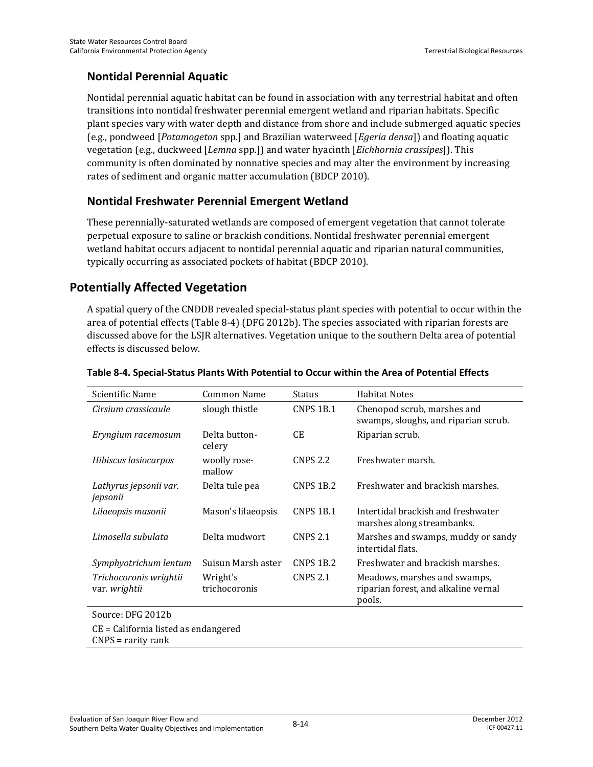### **Nontidal Perennial Aquatic**

Nontidal perennial aquatic habitat can be found in association with any terrestrial habitat and often transitions into nontidal freshwater perennial emergent wetland and riparian habitats. Specific plant species vary with water depth and distance from shore and include submerged aquatic species (e.g., pondweed [*Potamogeton* spp.] and Brazilian waterweed [*Egeria densa*]) and floating aquatic vegetation (e.g., duckweed [*Lemna* spp.]) and water hyacinth [*Eichhornia crassipes*]). This community is often dominated by nonnative species and may alter the environment by increasing rates of sediment and organic matter accumulation (BDCP 2010).

#### **Nontidal Freshwater Perennial Emergent Wetland**

These perennially-saturated wetlands are composed of emergent vegetation that cannot tolerate perpetual exposure to saline or brackish conditions. Nontidal freshwater perennial emergent wetland habitat occurs adjacent to nontidal perennial aquatic and riparian natural communities, typically occurring as associated pockets of habitat (BDCP 2010).

## **Potentially Affected Vegetation**

A spatial query of the CNDDB revealed special-status plant species with potential to occur within the area of potential effects (Table 8-4) (DFG 2012b). The species associated with riparian forests are discussed above for the LSJR alternatives. Vegetation unique to the southern Delta area of potential effects is discussed below.

| Scientific Name                                | Common Name               | <b>Status</b>   | <b>Habitat Notes</b>                                                           |
|------------------------------------------------|---------------------------|-----------------|--------------------------------------------------------------------------------|
| Cirsium crassicaule                            | slough thistle            | CNPS 1B.1       | Chenopod scrub, marshes and<br>swamps, sloughs, and riparian scrub.            |
| Eryngium racemosum                             | Delta button-<br>celery   | CE              | Riparian scrub.                                                                |
| Hibiscus lasiocarpos                           | woolly rose-<br>mallow    | <b>CNPS 2.2</b> | Freshwater marsh.                                                              |
| Lathyrus jepsonii var.<br>jepsonii             | Delta tule pea            | CNPS 1B.2       | Freshwater and brackish marshes.                                               |
| Lilaeopsis masonii                             | Mason's lilaeopsis        | CNPS 1B.1       | Intertidal brackish and freshwater<br>marshes along streambanks.               |
| Limosella subulata                             | Delta mudwort             | <b>CNPS 2.1</b> | Marshes and swamps, muddy or sandy<br>intertidal flats.                        |
| Symphyotrichum lentum                          | Suisun Marsh aster        | CNPS 1B.2       | Freshwater and brackish marshes.                                               |
| Trichocoronis wrightii<br>var. <i>wrightii</i> | Wright's<br>trichocoronis | <b>CNPS 2.1</b> | Meadows, marshes and swamps,<br>riparian forest, and alkaline vernal<br>pools. |
| Source: DFG 2012b                              |                           |                 |                                                                                |

#### **Table 8-4. Special-Status Plants With Potential to Occur within the Area of Potential Effects**

CE = California listed as endangered

CNPS = rarity rank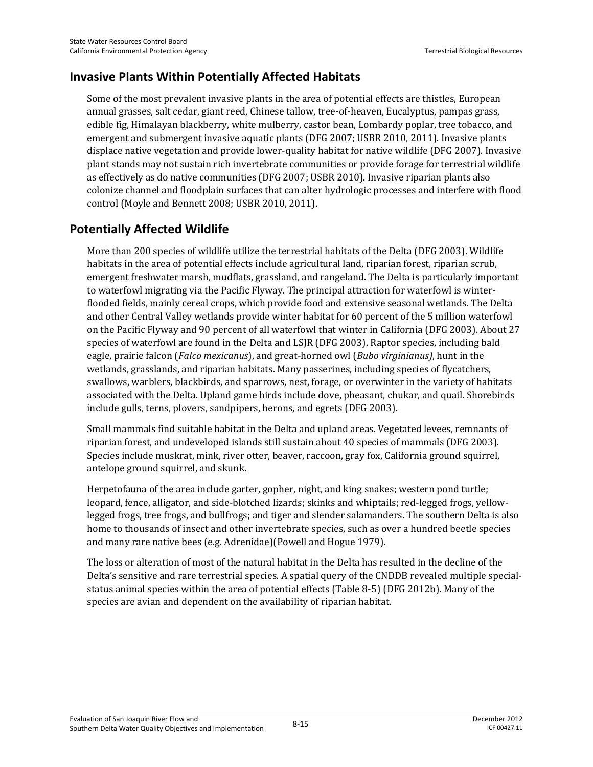# **Invasive Plants Within Potentially Affected Habitats**

Some of the most prevalent invasive plants in the area of potential effects are thistles, European annual grasses, salt cedar, giant reed, Chinese tallow, tree-of-heaven, Eucalyptus, pampas grass, edible fig, Himalayan blackberry, white mulberry, castor bean, Lombardy poplar, tree tobacco, and emergent and submergent invasive aquatic plants (DFG 2007; USBR 2010, 2011). Invasive plants displace native vegetation and provide lower-quality habitat for native wildlife (DFG 2007). Invasive plant stands may not sustain rich invertebrate communities or provide forage for terrestrial wildlife as effectively as do native communities (DFG 2007; USBR 2010). Invasive riparian plants also colonize channel and floodplain surfaces that can alter hydrologic processes and interfere with flood control (Moyle and Bennett 2008; USBR 2010, 2011).

# **Potentially Affected Wildlife**

More than 200 species of wildlife utilize the terrestrial habitats of the Delta (DFG 2003). Wildlife habitats in the area of potential effects include agricultural land, riparian forest, riparian scrub, emergent freshwater marsh, mudflats, grassland, and rangeland. The Delta is particularly important to waterfowl migrating via the Pacific Flyway. The principal attraction for waterfowl is winterflooded fields, mainly cereal crops, which provide food and extensive seasonal wetlands. The Delta and other Central Valley wetlands provide winter habitat for 60 percent of the 5 million waterfowl on the Pacific Flyway and 90 percent of all waterfowl that winter in California (DFG 2003). About 27 species of waterfowl are found in the Delta and LSJR (DFG 2003). Raptor species, including bald eagle, prairie falcon (*Falco mexicanus*), and great-horned owl (*Bubo virginianus)*, hunt in the wetlands, grasslands, and riparian habitats. Many passerines, including species of flycatchers, swallows, warblers, blackbirds, and sparrows, nest, forage, or overwinter in the variety of habitats associated with the Delta. Upland game birds include dove, pheasant, chukar, and quail. Shorebirds include gulls, terns, plovers, sandpipers, herons, and egrets (DFG 2003).

Small mammals find suitable habitat in the Delta and upland areas. Vegetated levees, remnants of riparian forest, and undeveloped islands still sustain about 40 species of mammals (DFG 2003). Species include muskrat, mink, river otter, beaver, raccoon, gray fox, California ground squirrel, antelope ground squirrel, and skunk.

Herpetofauna of the area include garter, gopher, night, and king snakes; western pond turtle; leopard, fence, alligator, and side-blotched lizards; skinks and whiptails; red-legged frogs, yellowlegged frogs, tree frogs, and bullfrogs; and tiger and slender salamanders. The southern Delta is also home to thousands of insect and other invertebrate species, such as over a hundred beetle species and many rare native bees (e.g. Adrenidae)(Powell and Hogue 1979).

The loss or alteration of most of the natural habitat in the Delta has resulted in the decline of the Delta's sensitive and rare terrestrial species. A spatial query of the CNDDB revealed multiple specialstatus animal species within the area of potential effects (Table 8-5) (DFG 2012b). Many of the species are avian and dependent on the availability of riparian habitat.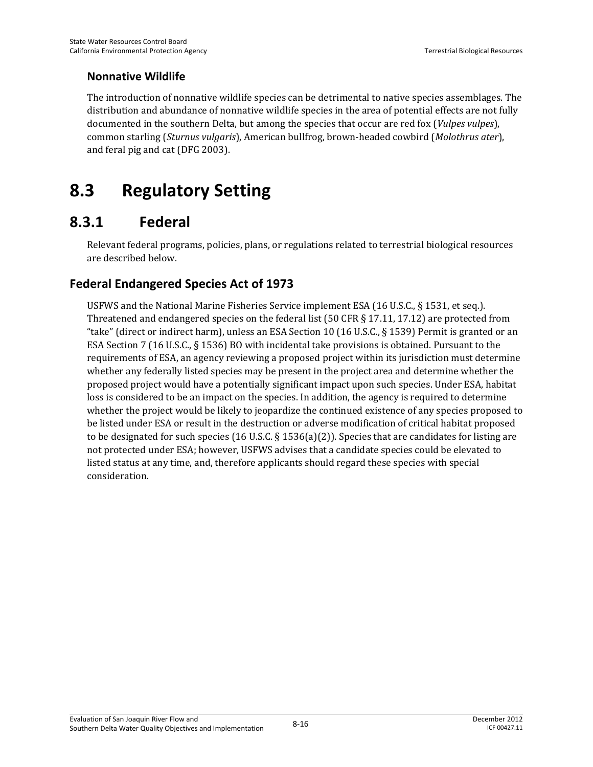### **Nonnative Wildlife**

The introduction of nonnative wildlife species can be detrimental to native species assemblages. The distribution and abundance of nonnative wildlife species in the area of potential effects are not fully documented in the southern Delta, but among the species that occur are red fox (*Vulpes vulpes*), common starling (*Sturnus vulgaris*), American bullfrog, brown-headed cowbird (*Molothrus ater*), and feral pig and cat (DFG 2003).

# **8.3 Regulatory Setting**

# **8.3.1 Federal**

Relevant federal programs, policies, plans, or regulations related to terrestrial biological resources are described below.

# **Federal Endangered Species Act of 1973**

USFWS and the National Marine Fisheries Service implement ESA (16 U.S.C., § 1531, et seq.). Threatened and endangered species on the federal list (50 CFR § 17.11, 17.12) are protected from "take" (direct or indirect harm), unless an ESA Section 10 (16 U.S.C., § 1539) Permit is granted or an ESA Section 7 (16 U.S.C., § 1536) BO with incidental take provisions is obtained. Pursuant to the requirements of ESA, an agency reviewing a proposed project within its jurisdiction must determine whether any federally listed species may be present in the project area and determine whether the proposed project would have a potentially significant impact upon such species. Under ESA, habitat loss is considered to be an impact on the species. In addition, the agency is required to determine whether the project would be likely to jeopardize the continued existence of any species proposed to be listed under ESA or result in the destruction or adverse modification of critical habitat proposed to be designated for such species (16 U.S.C.  $\S$  1536(a)(2)). Species that are candidates for listing are not protected under ESA; however, USFWS advises that a candidate species could be elevated to listed status at any time, and, therefore applicants should regard these species with special consideration.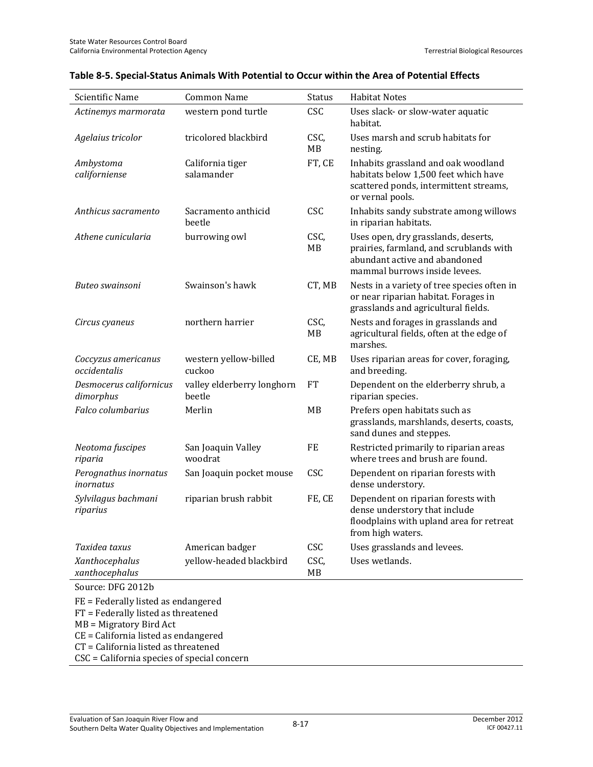| Scientific Name                                                                                                                                                                       | <b>Common Name</b>                   | Status            | <b>Habitat Notes</b>                                                                                                                             |  |  |  |  |  |
|---------------------------------------------------------------------------------------------------------------------------------------------------------------------------------------|--------------------------------------|-------------------|--------------------------------------------------------------------------------------------------------------------------------------------------|--|--|--|--|--|
| Actinemys marmorata                                                                                                                                                                   | western pond turtle                  | CSC               | Uses slack- or slow-water aquatic<br>habitat.                                                                                                    |  |  |  |  |  |
| Agelaius tricolor                                                                                                                                                                     | tricolored blackbird                 | CSC,<br><b>MB</b> | Uses marsh and scrub habitats for<br>nesting.                                                                                                    |  |  |  |  |  |
| Ambystoma<br>californiense                                                                                                                                                            | California tiger<br>salamander       | FT, CE            | Inhabits grassland and oak woodland<br>habitats below 1,500 feet which have<br>scattered ponds, intermittent streams,<br>or vernal pools.        |  |  |  |  |  |
| Anthicus sacramento                                                                                                                                                                   | Sacramento anthicid<br>heetle        | CSC               | Inhabits sandy substrate among willows<br>in riparian habitats.                                                                                  |  |  |  |  |  |
| Athene cunicularia                                                                                                                                                                    | burrowing owl                        | CSC,<br>MB        | Uses open, dry grasslands, deserts,<br>prairies, farmland, and scrublands with<br>abundant active and abandoned<br>mammal burrows inside levees. |  |  |  |  |  |
| Buteo swainsoni                                                                                                                                                                       | Swainson's hawk                      | CT, MB            | Nests in a variety of tree species often in<br>or near riparian habitat. Forages in<br>grasslands and agricultural fields.                       |  |  |  |  |  |
| Circus cyaneus                                                                                                                                                                        | northern harrier                     | CSC,<br>MB        | Nests and forages in grasslands and<br>agricultural fields, often at the edge of<br>marshes.                                                     |  |  |  |  |  |
| Coccyzus americanus<br>occidentalis                                                                                                                                                   | western yellow-billed<br>cuckoo      | CE, MB            | Uses riparian areas for cover, foraging,<br>and breeding.                                                                                        |  |  |  |  |  |
| Desmocerus californicus<br>dimorphus                                                                                                                                                  | valley elderberry longhorn<br>beetle | <b>FT</b>         | Dependent on the elderberry shrub, a<br>riparian species.                                                                                        |  |  |  |  |  |
| Falco columbarius                                                                                                                                                                     | Merlin                               | MB                | Prefers open habitats such as<br>grasslands, marshlands, deserts, coasts,<br>sand dunes and steppes.                                             |  |  |  |  |  |
| Neotoma fuscipes<br>riparia                                                                                                                                                           | San Joaquin Valley<br>woodrat        | FE                | Restricted primarily to riparian areas<br>where trees and brush are found.                                                                       |  |  |  |  |  |
| Perognathus inornatus<br>inornatus                                                                                                                                                    | San Joaquin pocket mouse             | CSC               | Dependent on riparian forests with<br>dense understory.                                                                                          |  |  |  |  |  |
| Sylvilagus bachmani<br>riparius                                                                                                                                                       | riparian brush rabbit                | FE, CE            | Dependent on riparian forests with<br>dense understory that include<br>floodplains with upland area for retreat<br>from high waters.             |  |  |  |  |  |
| Taxidea taxus                                                                                                                                                                         | American badger                      | <b>CSC</b>        | Uses grasslands and levees.                                                                                                                      |  |  |  |  |  |
| Xanthocephalus<br>xanthocephalus                                                                                                                                                      | yellow-headed blackbird              | CSC,<br>МB        | Uses wetlands.                                                                                                                                   |  |  |  |  |  |
| Source: DFG 2012b                                                                                                                                                                     |                                      |                   |                                                                                                                                                  |  |  |  |  |  |
| FE = Federally listed as endangered<br>FT = Federally listed as threatened<br>MB = Migratory Bird Act<br>CE = California listed as endangered<br>CT = California listed as threatened |                                      |                   |                                                                                                                                                  |  |  |  |  |  |
| CSC = California species of special concern                                                                                                                                           |                                      |                   |                                                                                                                                                  |  |  |  |  |  |

#### **Table 8-5. Special-Status Animals With Potential to Occur within the Area of Potential Effects**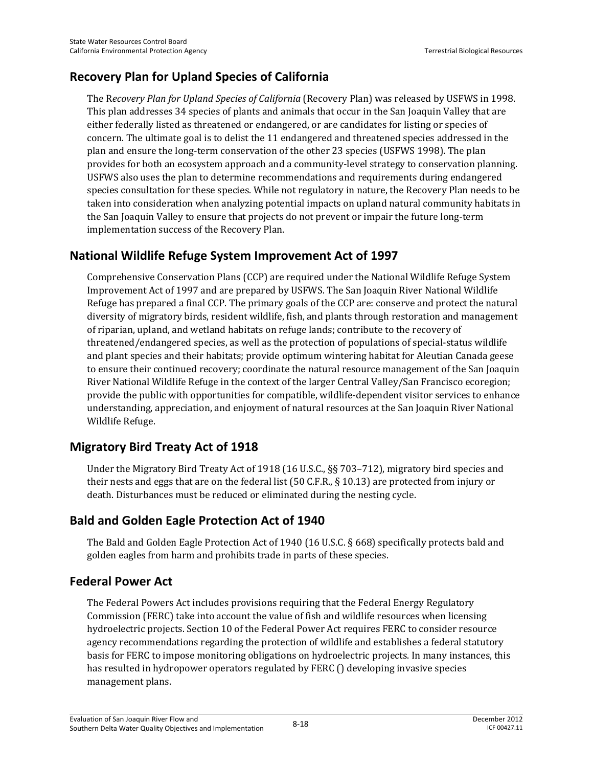# **Recovery Plan for Upland Species of California**

The R*ecovery Plan for Upland Species of California* (Recovery Plan) was released by USFWS in 1998. This plan addresses 34 species of plants and animals that occur in the San Joaquin Valley that are either federally listed as threatened or endangered, or are candidates for listing or species of concern. The ultimate goal is to delist the 11 endangered and threatened species addressed in the plan and ensure the long-term conservation of the other 23 species (USFWS 1998). The plan provides for both an ecosystem approach and a community-level strategy to conservation planning. USFWS also uses the plan to determine recommendations and requirements during endangered species consultation for these species. While not regulatory in nature, the Recovery Plan needs to be taken into consideration when analyzing potential impacts on upland natural community habitats in the San Joaquin Valley to ensure that projects do not prevent or impair the future long-term implementation success of the Recovery Plan.

### **National Wildlife Refuge System Improvement Act of 1997**

Comprehensive Conservation Plans (CCP) are required under the National Wildlife Refuge System Improvement Act of 1997 and are prepared by USFWS. The San Joaquin River National Wildlife Refuge has prepared a final CCP. The primary goals of the CCP are: conserve and protect the natural diversity of migratory birds, resident wildlife, fish, and plants through restoration and management of riparian, upland, and wetland habitats on refuge lands; contribute to the recovery of threatened/endangered species, as well as the protection of populations of special-status wildlife and plant species and their habitats; provide optimum wintering habitat for Aleutian Canada geese to ensure their continued recovery; coordinate the natural resource management of the San Joaquin River National Wildlife Refuge in the context of the larger Central Valley/San Francisco ecoregion; provide the public with opportunities for compatible, wildlife-dependent visitor services to enhance understanding, appreciation, and enjoyment of natural resources at the San Joaquin River National Wildlife Refuge.

## **Migratory Bird Treaty Act of 1918**

Under the Migratory Bird Treaty Act of 1918 (16 U.S.C., §§ 703–712), migratory bird species and their nests and eggs that are on the federal list (50 C.F.R., § 10.13) are protected from injury or death. Disturbances must be reduced or eliminated during the nesting cycle.

## **Bald and Golden Eagle Protection Act of 1940**

The Bald and Golden Eagle Protection Act of 1940 (16 U.S.C. § 668) specifically protects bald and golden eagles from harm and prohibits trade in parts of these species.

## **Federal Power Act**

The Federal Powers Act includes provisions requiring that the Federal Energy Regulatory Commission (FERC) take into account the value of fish and wildlife resources when licensing hydroelectric projects. Section 10 of the Federal Power Act requires FERC to consider resource agency recommendations regarding the protection of wildlife and establishes a federal statutory basis for FERC to impose monitoring obligations on hydroelectric projects. In many instances, this has resulted in hydropower operators regulated by FERC () developing invasive species management plans.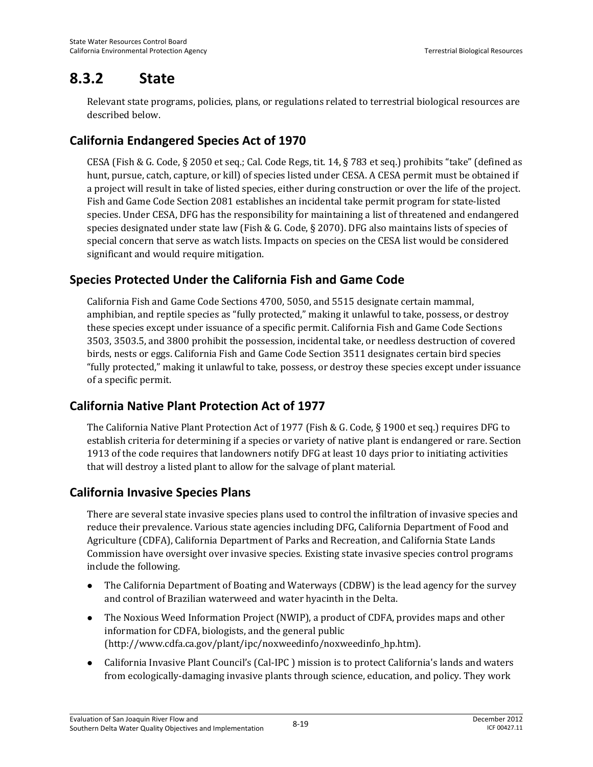# **8.3.2 State**

Relevant state programs, policies, plans, or regulations related to terrestrial biological resources are described below.

# **California Endangered Species Act of 1970**

CESA (Fish & G. Code, § 2050 et seq.; Cal. Code Regs, tit. 14, § 783 et seq.) prohibits "take" (defined as hunt, pursue, catch, capture, or kill) of species listed under CESA. A CESA permit must be obtained if a project will result in take of listed species, either during construction or over the life of the project. Fish and Game Code Section 2081 establishes an incidental take permit program for state-listed species. Under CESA, DFG has the responsibility for maintaining a list of threatened and endangered species designated under state law (Fish & G. Code, § 2070). DFG also maintains lists of species of special concern that serve as watch lists. Impacts on species on the CESA list would be considered significant and would require mitigation.

## **Species Protected Under the California Fish and Game Code**

California Fish and Game Code Sections 4700, 5050, and 5515 designate certain mammal, amphibian, and reptile species as "fully protected," making it unlawful to take, possess, or destroy these species except under issuance of a specific permit. California Fish and Game Code Sections 3503, 3503.5, and 3800 prohibit the possession, incidental take, or needless destruction of covered birds, nests or eggs. California Fish and Game Code Section 3511 designates certain bird species "fully protected," making it unlawful to take, possess, or destroy these species except under issuance of a specific permit.

## **California Native Plant Protection Act of 1977**

The California Native Plant Protection Act of 1977 (Fish & G. Code, § 1900 et seq.) requires DFG to establish criteria for determining if a species or variety of native plant is endangered or rare. Section 1913 of the code requires that landowners notify DFG at least 10 days prior to initiating activities that will destroy a listed plant to allow for the salvage of plant material.

## **California Invasive Species Plans**

There are several state invasive species plans used to control the infiltration of invasive species and reduce their prevalence. Various state agencies including DFG, California Department of Food and Agriculture (CDFA), California Department of Parks and Recreation, and California State Lands Commission have oversight over invasive species. Existing state invasive species control programs include the following.

- The California Department of Boating and Waterways (CDBW) is the lead agency for the survey and control of Brazilian waterweed and water hyacinth in the Delta.
- The Noxious Weed Information Project (NWIP), a product of CDFA, provides maps and other information for CDFA, biologists, and the general public (http://www.cdfa.ca.gov/plant/ipc/noxweedinfo/noxweedinfo\_hp.htm).
- California Invasive Plant Council's (Cal-IPC ) mission is to protect California's lands and waters from ecologically-damaging invasive plants through science, education, and policy. They work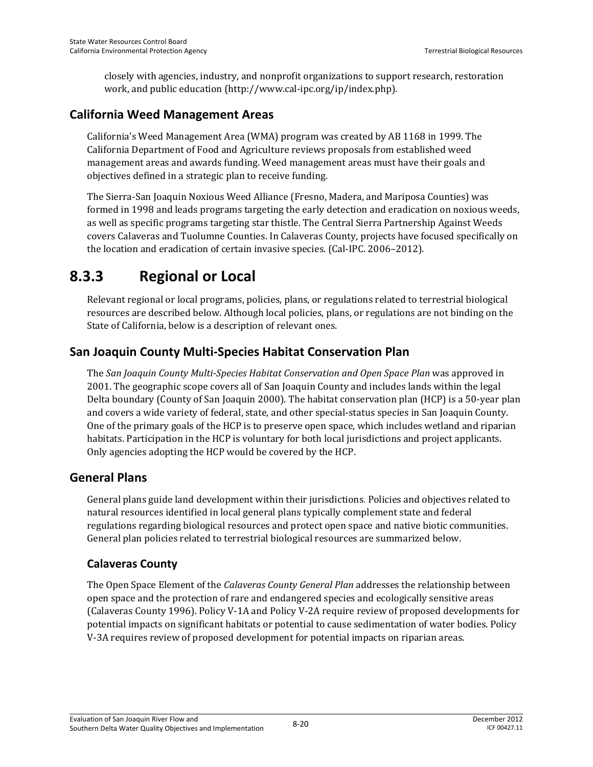closely with agencies, industry, and nonprofit organizations to support research, restoration work, and public education (http://www.cal-ipc.org/ip/index.php).

### **California Weed Management Areas**

California's Weed Management Area (WMA) program was created by AB 1168 in 1999. The California Department of Food and Agriculture reviews proposals from established weed management areas and awards funding. Weed management areas must have their goals and objectives defined in a strategic plan to receive funding.

The Sierra-San Joaquin Noxious Weed Alliance (Fresno, Madera, and Mariposa Counties) was formed in 1998 and leads programs targeting the early detection and eradication on noxious weeds, as well as specific programs targeting star thistle. The Central Sierra Partnership Against Weeds covers Calaveras and Tuolumne Counties. In Calaveras County, projects have focused specifically on the location and eradication of certain invasive species. (Cal-IPC. 2006–2012).

# **8.3.3 Regional or Local**

Relevant regional or local programs, policies, plans, or regulations related to terrestrial biological resources are described below. Although local policies, plans, or regulations are not binding on the State of California, below is a description of relevant ones.

## **San Joaquin County Multi-Species Habitat Conservation Plan**

The *San Joaquin County Multi-Species Habitat Conservation and Open Space Plan* was approved in 2001. The geographic scope covers all of San Joaquin County and includes lands within the legal Delta boundary (County of San Joaquin 2000). The habitat conservation plan (HCP) is a 50-year plan and covers a wide variety of federal, state, and other special-status species in San Joaquin County. One of the primary goals of the HCP is to preserve open space, which includes wetland and riparian habitats. Participation in the HCP is voluntary for both local jurisdictions and project applicants. Only agencies adopting the HCP would be covered by the HCP.

#### **General Plans**

General plans guide land development within their jurisdictions. Policies and objectives related to natural resources identified in local general plans typically complement state and federal regulations regarding biological resources and protect open space and native biotic communities. General plan policies related to terrestrial biological resources are summarized below.

#### **Calaveras County**

The Open Space Element of the *Calaveras County General Plan* addresses the relationship between open space and the protection of rare and endangered species and ecologically sensitive areas (Calaveras County 1996). Policy V-1A and Policy V-2A require review of proposed developments for potential impacts on significant habitats or potential to cause sedimentation of water bodies. Policy V-3A requires review of proposed development for potential impacts on riparian areas.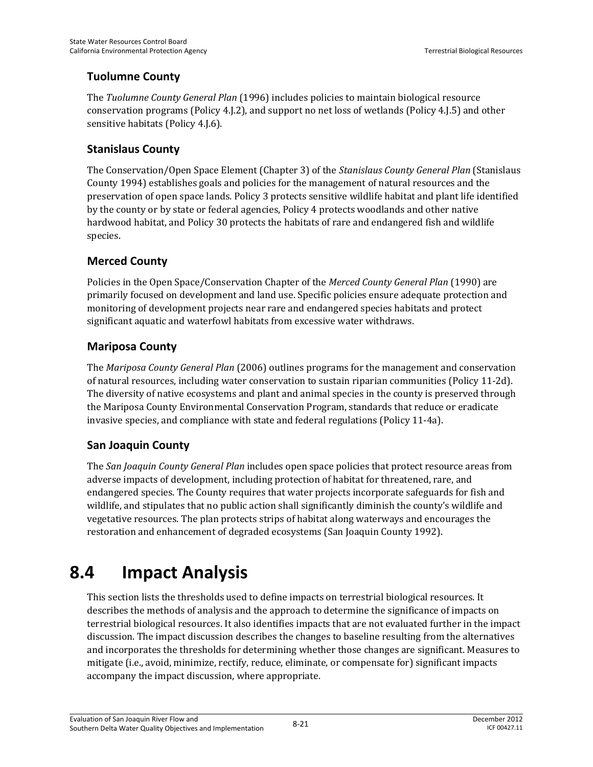#### **Tuolumne County**

The *Tuolumne County General Plan* (1996) includes policies to maintain biological resource conservation programs (Policy 4.J.2), and support no net loss of wetlands (Policy 4.J.5) and other sensitive habitats (Policy 4.J.6).

#### **Stanislaus County**

The Conservation/Open Space Element (Chapter 3) of the *Stanislaus County General Plan* (Stanislaus County 1994) establishes goals and policies for the management of natural resources and the preservation of open space lands. Policy 3 protects sensitive wildlife habitat and plant life identified by the county or by state or federal agencies, Policy 4 protects woodlands and other native hardwood habitat, and Policy 30 protects the habitats of rare and endangered fish and wildlife species.

#### **Merced County**

Policies in the Open Space/Conservation Chapter of the *Merced County General Plan* (1990) are primarily focused on development and land use. Specific policies ensure adequate protection and monitoring of development projects near rare and endangered species habitats and protect significant aquatic and waterfowl habitats from excessive water withdraws.

#### **Mariposa County**

The *Mariposa County General Plan* (2006) outlines programs for the management and conservation of natural resources, including water conservation to sustain riparian communities (Policy 11-2d). The diversity of native ecosystems and plant and animal species in the county is preserved through the Mariposa County Environmental Conservation Program, standards that reduce or eradicate invasive species, and compliance with state and federal regulations (Policy 11-4a).

#### **San Joaquin County**

The *San Joaquin County General Plan* includes open space policies that protect resource areas from adverse impacts of development, including protection of habitat for threatened, rare, and endangered species. The County requires that water projects incorporate safeguards for fish and wildlife, and stipulates that no public action shall significantly diminish the county's wildlife and vegetative resources. The plan protects strips of habitat along waterways and encourages the restoration and enhancement of degraded ecosystems (San Joaquin County 1992).

# **8.4 Impact Analysis**

This section lists the thresholds used to define impacts on terrestrial biological resources. It describes the methods of analysis and the approach to determine the significance of impacts on terrestrial biological resources. It also identifies impacts that are not evaluated further in the impact discussion. The impact discussion describes the changes to baseline resulting from the alternatives and incorporates the thresholds for determining whether those changes are significant. Measures to mitigate (i.e., avoid, minimize, rectify, reduce, eliminate, or compensate for) significant impacts accompany the impact discussion, where appropriate.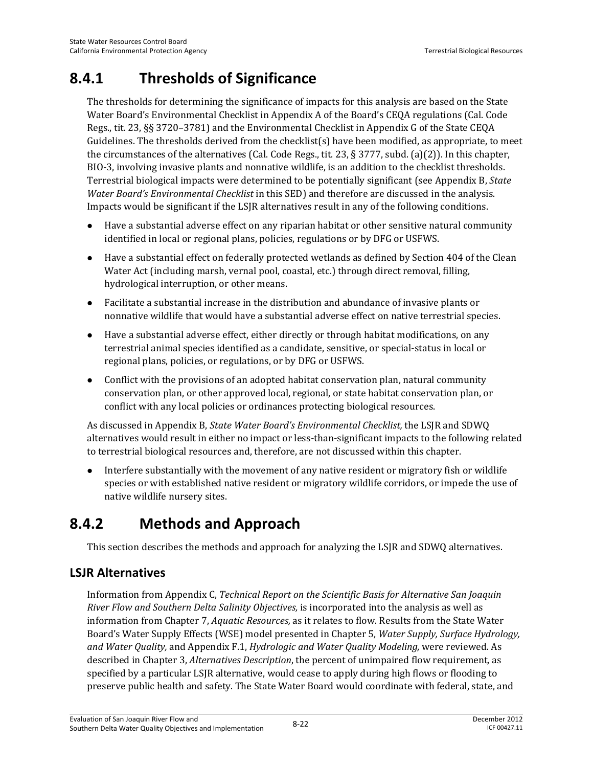# **8.4.1 Thresholds of Significance**

The thresholds for determining the significance of impacts for this analysis are based on the State Water Board's Environmental Checklist in Appendix A of the Board's CEQA regulations (Cal. Code Regs., tit. 23, §§ 3720–3781) and the Environmental Checklist in Appendix G of the State CEQA Guidelines. The thresholds derived from the checklist(s) have been modified, as appropriate, to meet the circumstances of the alternatives (Cal. Code Regs., tit. 23, § 3777, subd. (a)(2)). In this chapter, BIO-3, involving invasive plants and nonnative wildlife, is an addition to the checklist thresholds. Terrestrial biological impacts were determined to be potentially significant (see Appendix B, *State Water Board's Environmental Checklist* in this SED) and therefore are discussed in the analysis. Impacts would be significant if the LSJR alternatives result in any of the following conditions.

- Have a substantial adverse effect on any riparian habitat or other sensitive natural community identified in local or regional plans, policies, regulations or by DFG or USFWS.
- Have a substantial effect on federally protected wetlands as defined by Section 404 of the Clean Water Act (including marsh, vernal pool, coastal, etc.) through direct removal, filling, hydrological interruption, or other means.
- Facilitate a substantial increase in the distribution and abundance of invasive plants or nonnative wildlife that would have a substantial adverse effect on native terrestrial species.
- Have a substantial adverse effect, either directly or through habitat modifications, on any terrestrial animal species identified as a candidate, sensitive, or special-status in local or regional plans, policies, or regulations, or by DFG or USFWS.
- Conflict with the provisions of an adopted habitat conservation plan, natural community conservation plan, or other approved local, regional, or state habitat conservation plan, or conflict with any local policies or ordinances protecting biological resources.

As discussed in Appendix B, *State Water Board's Environmental Checklist,* the LSJR and SDWQ alternatives would result in either no impact or less-than-significant impacts to the following related to terrestrial biological resources and, therefore, are not discussed within this chapter.

 Interfere substantially with the movement of any native resident or migratory fish or wildlife species or with established native resident or migratory wildlife corridors, or impede the use of native wildlife nursery sites.

# **8.4.2 Methods and Approach**

This section describes the methods and approach for analyzing the LSJR and SDWQ alternatives.

# **LSJR Alternatives**

Information from Appendix C, *Technical Report on the Scientific Basis for Alternative San Joaquin River Flow and Southern Delta Salinity Objectives,* is incorporated into the analysis as well as information from Chapter 7, *Aquatic Resources,* as it relates to flow. Results from the State Water Board's Water Supply Effects (WSE) model presented in Chapter 5, *Water Supply, Surface Hydrology, and Water Quality,* and Appendix F.1, *Hydrologic and Water Quality Modeling,* were reviewed. As described in Chapter 3, *Alternatives Description*, the percent of unimpaired flow requirement, as specified by a particular LSJR alternative, would cease to apply during high flows or flooding to preserve public health and safety. The State Water Board would coordinate with federal, state, and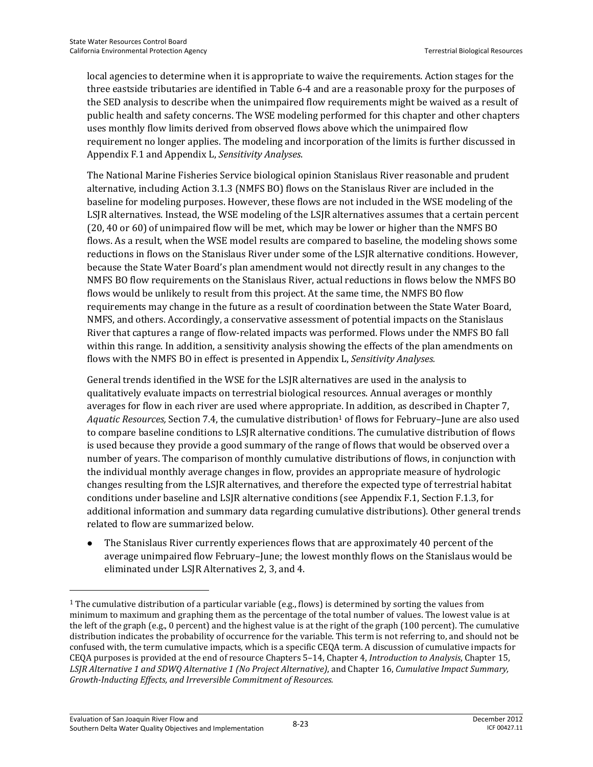local agencies to determine when it is appropriate to waive the requirements. Action stages for the three eastside tributaries are identified in Table 6-4 and are a reasonable proxy for the purposes of the SED analysis to describe when the unimpaired flow requirements might be waived as a result of public health and safety concerns. The WSE modeling performed for this chapter and other chapters uses monthly flow limits derived from observed flows above which the unimpaired flow requirement no longer applies. The modeling and incorporation of the limits is further discussed in Appendix F.1 and Appendix L, *Sensitivity Analyses*.

The National Marine Fisheries Service biological opinion Stanislaus River reasonable and prudent alternative, including Action 3.1.3 (NMFS BO) flows on the Stanislaus River are included in the baseline for modeling purposes. However, these flows are not included in the WSE modeling of the LSJR alternatives. Instead, the WSE modeling of the LSJR alternatives assumes that a certain percent (20, 40 or 60) of unimpaired flow will be met, which may be lower or higher than the NMFS BO flows. As a result, when the WSE model results are compared to baseline, the modeling shows some reductions in flows on the Stanislaus River under some of the LSJR alternative conditions. However, because the State Water Board's plan amendment would not directly result in any changes to the NMFS BO flow requirements on the Stanislaus River, actual reductions in flows below the NMFS BO flows would be unlikely to result from this project. At the same time, the NMFS BO flow requirements may change in the future as a result of coordination between the State Water Board, NMFS, and others. Accordingly, a conservative assessment of potential impacts on the Stanislaus River that captures a range of flow-related impacts was performed. Flows under the NMFS BO fall within this range. In addition, a sensitivity analysis showing the effects of the plan amendments on flows with the NMFS BO in effect is presented in Appendix L, *Sensitivity Analyses.*

General trends identified in the WSE for the LSJR alternatives are used in the analysis to qualitatively evaluate impacts on terrestrial biological resources. Annual averages or monthly averages for flow in each river are used where appropriate. In addition, as described in Chapter 7, Aquatic Resources, Section 7.4, the cumulative distribution<sup>1</sup> of flows for February–June are also used to compare baseline conditions to LSJR alternative conditions. The cumulative distribution of flows is used because they provide a good summary of the range of flows that would be observed over a number of years. The comparison of monthly cumulative distributions of flows, in conjunction with the individual monthly average changes in flow, provides an appropriate measure of hydrologic changes resulting from the LSJR alternatives, and therefore the expected type of terrestrial habitat conditions under baseline and LSJR alternative conditions (see Appendix F.1, Section F.1.3, for additional information and summary data regarding cumulative distributions). Other general trends related to flow are summarized below.

 The Stanislaus River currently experiences flows that are approximately 40 percent of the average unimpaired flow February–June; the lowest monthly flows on the Stanislaus would be eliminated under LSJR Alternatives 2, 3, and 4.

 $\overline{\phantom{0}}$ 

<sup>1</sup> The cumulative distribution of a particular variable (e.g., flows) is determined by sorting the values from minimum to maximum and graphing them as the percentage of the total number of values. The lowest value is at the left of the graph (e.g., 0 percent) and the highest value is at the right of the graph (100 percent). The cumulative distribution indicates the probability of occurrence for the variable. This term is not referring to, and should not be confused with, the term cumulative impacts, which is a specific CEQA term. A discussion of cumulative impacts for CEQA purposes is provided at the end of resource Chapters 5–14, Chapter 4, *Introduction to Analysis*, Chapter 15, *LSJR Alternative 1 and SDWQ Alternative 1 (No Project Alternative)*, and Chapter 16, *Cumulative Impact Summary, Growth-Inducting Effects, and Irreversible Commitment of Resources.*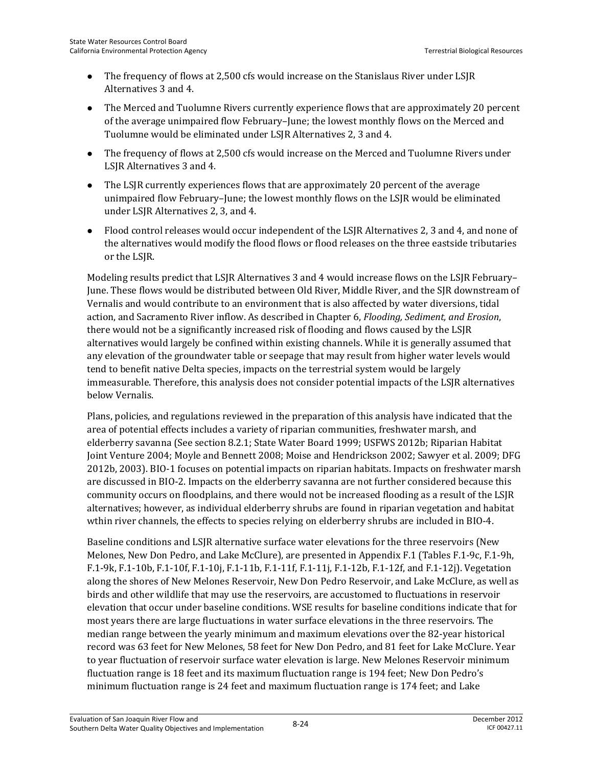- The frequency of flows at 2,500 cfs would increase on the Stanislaus River under LSJR Alternatives 3 and 4.
- The Merced and Tuolumne Rivers currently experience flows that are approximately 20 percent of the average unimpaired flow February–June; the lowest monthly flows on the Merced and Tuolumne would be eliminated under LSJR Alternatives 2, 3 and 4.
- The frequency of flows at 2,500 cfs would increase on the Merced and Tuolumne Rivers under LSJR Alternatives 3 and 4.
- The LSJR currently experiences flows that are approximately 20 percent of the average unimpaired flow February–June; the lowest monthly flows on the LSJR would be eliminated under LSJR Alternatives 2, 3, and 4.
- Flood control releases would occur independent of the LSJR Alternatives 2, 3 and 4, and none of the alternatives would modify the flood flows or flood releases on the three eastside tributaries or the LSJR.

Modeling results predict that LSJR Alternatives 3 and 4 would increase flows on the LSJR February– June. These flows would be distributed between Old River, Middle River, and the SJR downstream of Vernalis and would contribute to an environment that is also affected by water diversions, tidal action, and Sacramento River inflow. As described in Chapter 6, *Flooding, Sediment, and Erosion*, there would not be a significantly increased risk of flooding and flows caused by the LSJR alternatives would largely be confined within existing channels. While it is generally assumed that any elevation of the groundwater table or seepage that may result from higher water levels would tend to benefit native Delta species, impacts on the terrestrial system would be largely immeasurable. Therefore, this analysis does not consider potential impacts of the LSJR alternatives below Vernalis.

Plans, policies, and regulations reviewed in the preparation of this analysis have indicated that the area of potential effects includes a variety of riparian communities, freshwater marsh, and elderberry savanna (See section 8.2.1; State Water Board 1999; USFWS 2012b; Riparian Habitat Joint Venture 2004; Moyle and Bennett 2008; Moise and Hendrickson 2002; Sawyer et al. 2009; DFG 2012b, 2003). BIO-1 focuses on potential impacts on riparian habitats. Impacts on freshwater marsh are discussed in BIO-2. Impacts on the elderberry savanna are not further considered because this community occurs on floodplains, and there would not be increased flooding as a result of the LSJR alternatives; however, as individual elderberry shrubs are found in riparian vegetation and habitat wthin river channels, the effects to species relying on elderberry shrubs are included in BIO-4.

Baseline conditions and LSJR alternative surface water elevations for the three reservoirs (New Melones, New Don Pedro, and Lake McClure), are presented in Appendix F.1 (Tables F.1-9c, F.1-9h, F.1-9k, F.1-10b, F.1-10f, F.1-10j, F.1-11b, F.1-11f, F.1-11j, F.1-12b, F.1-12f, and F.1-12j). Vegetation along the shores of New Melones Reservoir, New Don Pedro Reservoir, and Lake McClure, as well as birds and other wildlife that may use the reservoirs, are accustomed to fluctuations in reservoir elevation that occur under baseline conditions. WSE results for baseline conditions indicate that for most years there are large fluctuations in water surface elevations in the three reservoirs. The median range between the yearly minimum and maximum elevations over the 82-year historical record was 63 feet for New Melones, 58 feet for New Don Pedro, and 81 feet for Lake McClure. Year to year fluctuation of reservoir surface water elevation is large. New Melones Reservoir minimum fluctuation range is 18 feet and its maximum fluctuation range is 194 feet; New Don Pedro's minimum fluctuation range is 24 feet and maximum fluctuation range is 174 feet; and Lake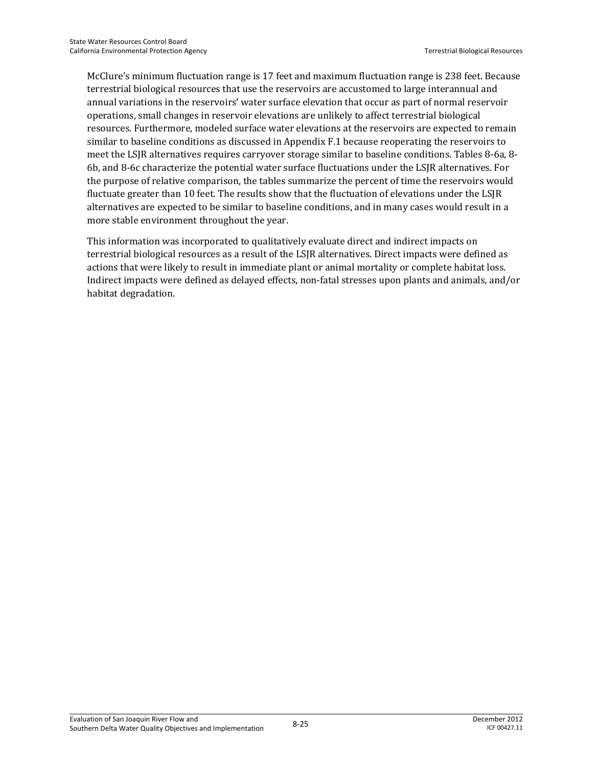McClure's minimum fluctuation range is 17 feet and maximum fluctuation range is 238 feet. Because terrestrial biological resources that use the reservoirs are accustomed to large interannual and annual variations in the reservoirs' water surface elevation that occur as part of normal reservoir operations, small changes in reservoir elevations are unlikely to affect terrestrial biological resources. Furthermore, modeled surface water elevations at the reservoirs are expected to remain similar to baseline conditions as discussed in Appendix F.1 because reoperating the reservoirs to meet the LSJR alternatives requires carryover storage similar to baseline conditions. Tables 8-6a, 8- 6b, and 8-6c characterize the potential water surface fluctuations under the LSJR alternatives. For the purpose of relative comparison, the tables summarize the percent of time the reservoirs would fluctuate greater than 10 feet. The results show that the fluctuation of elevations under the LSJR alternatives are expected to be similar to baseline conditions, and in many cases would result in a more stable environment throughout the year.

This information was incorporated to qualitatively evaluate direct and indirect impacts on terrestrial biological resources as a result of the LSJR alternatives. Direct impacts were defined as actions that were likely to result in immediate plant or animal mortality or complete habitat loss. Indirect impacts were defined as delayed effects, non-fatal stresses upon plants and animals, and/or habitat degradation.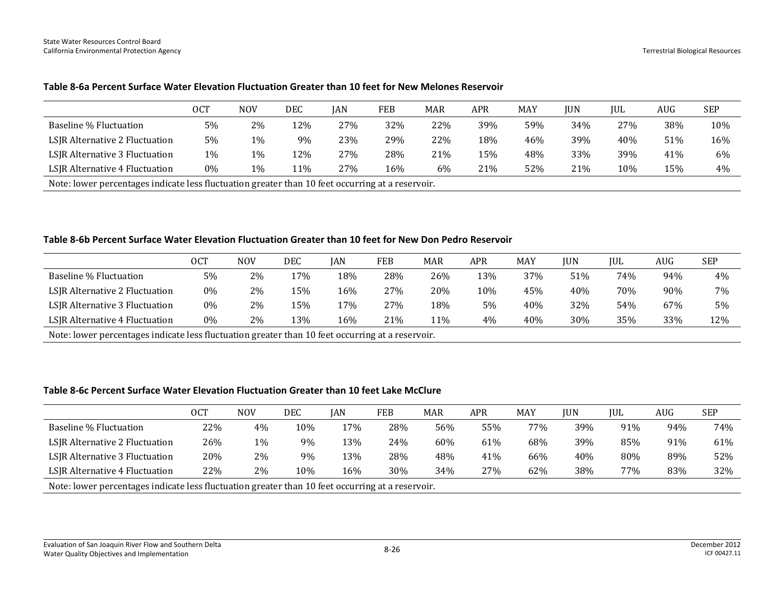|                                | 0CT   | <b>NOV</b> | DEC | <b>IAN</b> | FEB | <b>MAR</b> | <b>APR</b> | MAY | JUN | <b>IUL</b> | AUG | <b>SEP</b> |
|--------------------------------|-------|------------|-----|------------|-----|------------|------------|-----|-----|------------|-----|------------|
| Baseline % Fluctuation         | 5%    | 2%         | 12% | 27%        | 32% | 22%        | 39%        | 59% | 34% | 27%        | 38% | 10%        |
| LSJR Alternative 2 Fluctuation | 5%    | 1%         | 9%  | 23%        | 29% | 22%        | 18%        | 46% | 39% | 40%        | 51% | 16%        |
| LSJR Alternative 3 Fluctuation | 1%    | 1%         | 12% | 27%        | 28% | 21%        | 15%        | 48% | 33% | 39%        | 41% | 6%         |
| LSJR Alternative 4 Fluctuation | $0\%$ | 1%         | 11% | 27%        | 16% | $6\%$      | 21%        | 52% | 21% | 10%        | 15% | 4%         |

#### **Table 8-6a Percent Surface Water Elevation Fluctuation Greater than 10 feet for New Melones Reservoir**

Note: lower percentages indicate less fluctuation greater than 10 feet occurring at a reservoir.

#### **Table 8-6b Percent Surface Water Elevation Fluctuation Greater than 10 feet for New Don Pedro Reservoir**

|                                | <b>OCT</b> | <b>NOV</b> | DEC | IAN | FEB | MAR | APR | MAY | IUN | <b>IUL</b> | AUG | <b>SEP</b> |
|--------------------------------|------------|------------|-----|-----|-----|-----|-----|-----|-----|------------|-----|------------|
| Baseline % Fluctuation         | 5%         | 2%         | 17% | 18% | 28% | 26% | 13% | 37% | 51% | 74%        | 94% | 4%         |
| LSJR Alternative 2 Fluctuation | 0%         | 2%         | 15% | 16% | 27% | 20% | 10% | 45% | 40% | 70%        | 90% | 7%         |
| LSJR Alternative 3 Fluctuation | 0%         | 2%         | 15% | l7% | 27% | 18% | 5%  | 40% | 32% | 54%        | 67% | 5%         |
| LSJR Alternative 4 Fluctuation | 0%         | 2%         | 13% | 16% | 21% | 11% | 4%  | 40% | 30% | 35%        | 33% | 12%        |
|                                |            |            |     |     |     |     |     |     |     |            |     |            |

Note: lower percentages indicate less fluctuation greater than 10 feet occurring at a reservoir.

#### **Table 8-6c Percent Surface Water Elevation Fluctuation Greater than 10 feet Lake McClure**

|                                                                                                  | OCT | <b>NOV</b> | DEC | IAN | FEB | <b>MAR</b> | APR | MAY | <b>JUN</b> | IUL | AUG | <b>SEP</b> |
|--------------------------------------------------------------------------------------------------|-----|------------|-----|-----|-----|------------|-----|-----|------------|-----|-----|------------|
| Baseline % Fluctuation                                                                           | 22% | 4%         | 10% | 17% | 28% | 56%        | 55% | 77% | 39%        | 91% | 94% | 74%        |
| LSJR Alternative 2 Fluctuation                                                                   | 26% | 1%         | 9%  | 13% | 24% | 60%        | 61% | 68% | 39%        | 85% | 91% | 61%        |
| LSJR Alternative 3 Fluctuation                                                                   | 20% | 2%         | 9%  | 13% | 28% | 48%        | 41% | 66% | 40%        | 80% | 89% | 52%        |
| LSJR Alternative 4 Fluctuation                                                                   | 22% | 2%         | 10% | 16% | 30% | 34%        | 27% | 62% | 38%        | 77% | 83% | 32%        |
| Note: lower percentages indicate less fluctuation greater than 10 feet occurring at a reservoir. |     |            |     |     |     |            |     |     |            |     |     |            |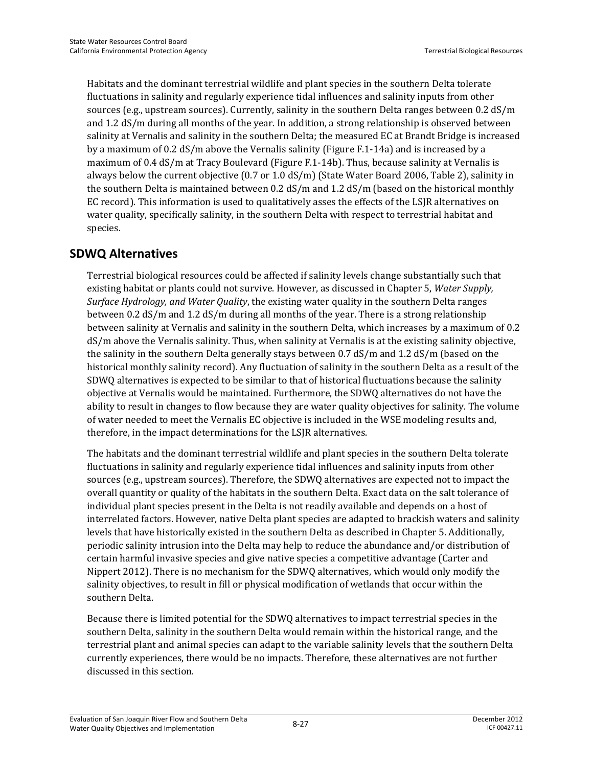Habitats and the dominant terrestrial wildlife and plant species in the southern Delta tolerate fluctuations in salinity and regularly experience tidal influences and salinity inputs from other sources (e.g., upstream sources). Currently, salinity in the southern Delta ranges between 0.2 dS/m and 1.2 dS/m during all months of the year. In addition, a strong relationship is observed between salinity at Vernalis and salinity in the southern Delta; the measured EC at Brandt Bridge is increased by a maximum of 0.2 dS/m above the Vernalis salinity (Figure F.1-14a) and is increased by a maximum of 0.4 dS/m at Tracy Boulevard (Figure F.1-14b). Thus, because salinity at Vernalis is always below the current objective (0.7 or 1.0 dS/m) (State Water Board 2006, Table 2), salinity in the southern Delta is maintained between 0.2 dS/m and 1.2 dS/m (based on the historical monthly EC record). This information is used to qualitatively asses the effects of the LSJR alternatives on water quality, specifically salinity, in the southern Delta with respect to terrestrial habitat and species.

### **SDWQ Alternatives**

Terrestrial biological resources could be affected if salinity levels change substantially such that existing habitat or plants could not survive. However, as discussed in Chapter 5, *Water Supply, Surface Hydrology, and Water Quality*, the existing water quality in the southern Delta ranges between 0.2 dS/m and 1.2 dS/m during all months of the year. There is a strong relationship between salinity at Vernalis and salinity in the southern Delta, which increases by a maximum of 0.2 dS/m above the Vernalis salinity. Thus, when salinity at Vernalis is at the existing salinity objective, the salinity in the southern Delta generally stays between 0.7 dS/m and 1.2 dS/m (based on the historical monthly salinity record). Any fluctuation of salinity in the southern Delta as a result of the SDWQ alternatives is expected to be similar to that of historical fluctuations because the salinity objective at Vernalis would be maintained. Furthermore, the SDWQ alternatives do not have the ability to result in changes to flow because they are water quality objectives for salinity. The volume of water needed to meet the Vernalis EC objective is included in the WSE modeling results and, therefore, in the impact determinations for the LSJR alternatives.

The habitats and the dominant terrestrial wildlife and plant species in the southern Delta tolerate fluctuations in salinity and regularly experience tidal influences and salinity inputs from other sources (e.g., upstream sources). Therefore, the SDWQ alternatives are expected not to impact the overall quantity or quality of the habitats in the southern Delta. Exact data on the salt tolerance of individual plant species present in the Delta is not readily available and depends on a host of interrelated factors. However, native Delta plant species are adapted to brackish waters and salinity levels that have historically existed in the southern Delta as described in Chapter 5. Additionally, periodic salinity intrusion into the Delta may help to reduce the abundance and/or distribution of certain harmful invasive species and give native species a competitive advantage (Carter and Nippert 2012). There is no mechanism for the SDWQ alternatives, which would only modify the salinity objectives, to result in fill or physical modification of wetlands that occur within the southern Delta.

Because there is limited potential for the SDWQ alternatives to impact terrestrial species in the southern Delta, salinity in the southern Delta would remain within the historical range, and the terrestrial plant and animal species can adapt to the variable salinity levels that the southern Delta currently experiences, there would be no impacts. Therefore, these alternatives are not further discussed in this section.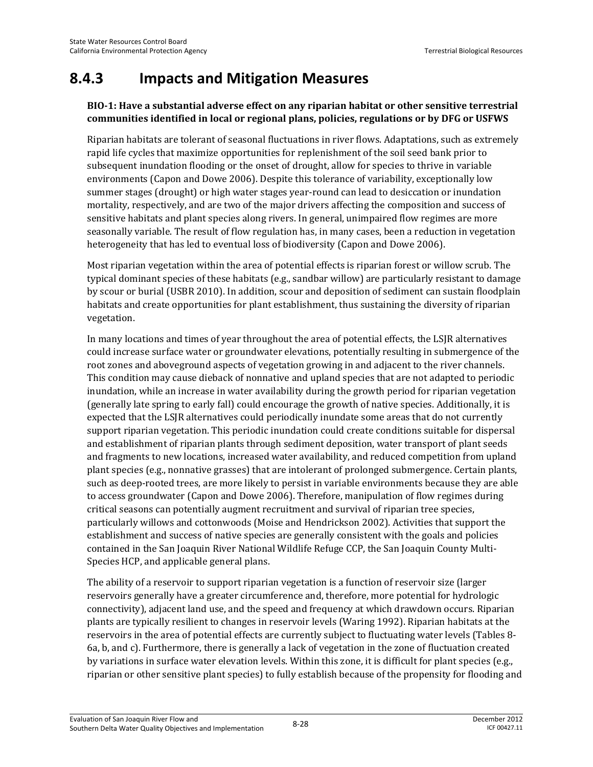# **8.4.3 Impacts and Mitigation Measures**

#### **BIO-1: Have a substantial adverse effect on any riparian habitat or other sensitive terrestrial communities identified in local or regional plans, policies, regulations or by DFG or USFWS**

Riparian habitats are tolerant of seasonal fluctuations in river flows. Adaptations, such as extremely rapid life cycles that maximize opportunities for replenishment of the soil seed bank prior to subsequent inundation flooding or the onset of drought, allow for species to thrive in variable environments (Capon and Dowe 2006). Despite this tolerance of variability, exceptionally low summer stages (drought) or high water stages year-round can lead to desiccation or inundation mortality, respectively, and are two of the major drivers affecting the composition and success of sensitive habitats and plant species along rivers. In general, unimpaired flow regimes are more seasonally variable. The result of flow regulation has, in many cases, been a reduction in vegetation heterogeneity that has led to eventual loss of biodiversity (Capon and Dowe 2006).

Most riparian vegetation within the area of potential effects is riparian forest or willow scrub. The typical dominant species of these habitats (e.g., sandbar willow) are particularly resistant to damage by scour or burial (USBR 2010). In addition, scour and deposition of sediment can sustain floodplain habitats and create opportunities for plant establishment, thus sustaining the diversity of riparian vegetation.

In many locations and times of year throughout the area of potential effects, the LSJR alternatives could increase surface water or groundwater elevations, potentially resulting in submergence of the root zones and aboveground aspects of vegetation growing in and adjacent to the river channels. This condition may cause dieback of nonnative and upland species that are not adapted to periodic inundation, while an increase in water availability during the growth period for riparian vegetation (generally late spring to early fall) could encourage the growth of native species. Additionally, it is expected that the LSJR alternatives could periodically inundate some areas that do not currently support riparian vegetation. This periodic inundation could create conditions suitable for dispersal and establishment of riparian plants through sediment deposition, water transport of plant seeds and fragments to new locations, increased water availability, and reduced competition from upland plant species (e.g., nonnative grasses) that are intolerant of prolonged submergence. Certain plants, such as deep-rooted trees, are more likely to persist in variable environments because they are able to access groundwater (Capon and Dowe 2006). Therefore, manipulation of flow regimes during critical seasons can potentially augment recruitment and survival of riparian tree species, particularly willows and cottonwoods (Moise and Hendrickson 2002). Activities that support the establishment and success of native species are generally consistent with the goals and policies contained in the San Joaquin River National Wildlife Refuge CCP, the San Joaquin County Multi-Species HCP, and applicable general plans.

The ability of a reservoir to support riparian vegetation is a function of reservoir size (larger reservoirs generally have a greater circumference and, therefore, more potential for hydrologic connectivity), adjacent land use, and the speed and frequency at which drawdown occurs. Riparian plants are typically resilient to changes in reservoir levels (Waring 1992). Riparian habitats at the reservoirs in the area of potential effects are currently subject to fluctuating water levels (Tables 8- 6a, b, and c). Furthermore, there is generally a lack of vegetation in the zone of fluctuation created by variations in surface water elevation levels. Within this zone, it is difficult for plant species (e.g., riparian or other sensitive plant species) to fully establish because of the propensity for flooding and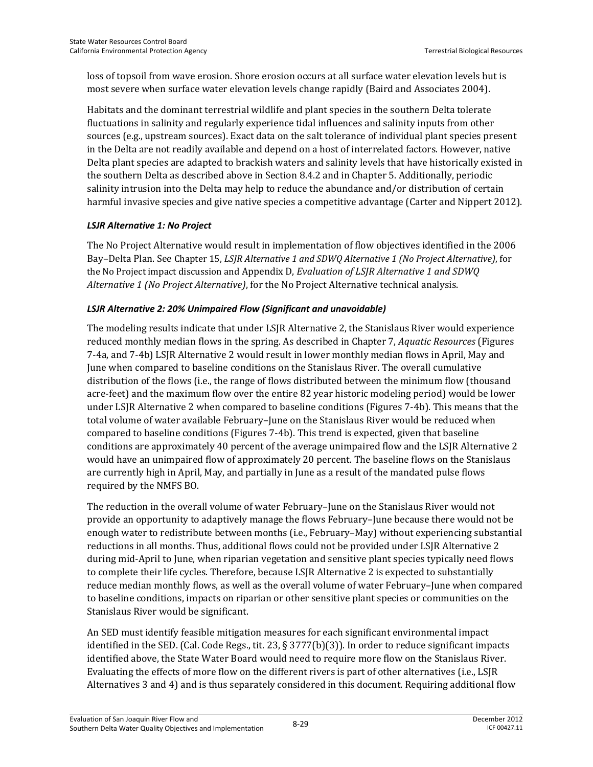loss of topsoil from wave erosion. Shore erosion occurs at all surface water elevation levels but is most severe when surface water elevation levels change rapidly (Baird and Associates 2004).

Habitats and the dominant terrestrial wildlife and plant species in the southern Delta tolerate fluctuations in salinity and regularly experience tidal influences and salinity inputs from other sources (e.g., upstream sources). Exact data on the salt tolerance of individual plant species present in the Delta are not readily available and depend on a host of interrelated factors. However, native Delta plant species are adapted to brackish waters and salinity levels that have historically existed in the southern Delta as described above in Section 8.4.2 and in Chapter 5. Additionally, periodic salinity intrusion into the Delta may help to reduce the abundance and/or distribution of certain harmful invasive species and give native species a competitive advantage (Carter and Nippert 2012).

#### *LSJR Alternative 1: No Project*

The No Project Alternative would result in implementation of flow objectives identified in the 2006 Bay–Delta Plan. See Chapter 15, *LSJR Alternative 1 and SDWQ Alternative 1 (No Project Alternative)*, for the No Project impact discussion and Appendix D, *Evaluation of LSJR Alternative 1 and SDWQ Alternative 1 (No Project Alternative)*, for the No Project Alternative technical analysis.

#### *LSJR Alternative 2: 20% Unimpaired Flow (Significant and unavoidable)*

The modeling results indicate that under LSJR Alternative 2, the Stanislaus River would experience reduced monthly median flows in the spring. As described in Chapter 7, *Aquatic Resources* (Figures 7-4a, and 7-4b) LSJR Alternative 2 would result in lower monthly median flows in April, May and June when compared to baseline conditions on the Stanislaus River. The overall cumulative distribution of the flows (i.e., the range of flows distributed between the minimum flow (thousand acre-feet) and the maximum flow over the entire 82 year historic modeling period) would be lower under LSJR Alternative 2 when compared to baseline conditions (Figures 7-4b). This means that the total volume of water available February–June on the Stanislaus River would be reduced when compared to baseline conditions (Figures 7-4b). This trend is expected, given that baseline conditions are approximately 40 percent of the average unimpaired flow and the LSJR Alternative 2 would have an unimpaired flow of approximately 20 percent. The baseline flows on the Stanislaus are currently high in April, May, and partially in June as a result of the mandated pulse flows required by the NMFS BO.

The reduction in the overall volume of water February–June on the Stanislaus River would not provide an opportunity to adaptively manage the flows February–June because there would not be enough water to redistribute between months (i.e., February–May) without experiencing substantial reductions in all months. Thus, additional flows could not be provided under LSJR Alternative 2 during mid-April to June, when riparian vegetation and sensitive plant species typically need flows to complete their life cycles. Therefore, because LSJR Alternative 2 is expected to substantially reduce median monthly flows, as well as the overall volume of water February–June when compared to baseline conditions, impacts on riparian or other sensitive plant species or communities on the Stanislaus River would be significant.

An SED must identify feasible mitigation measures for each significant environmental impact identified in the SED. (Cal. Code Regs., tit. 23, § 3777(b)(3)). In order to reduce significant impacts identified above, the State Water Board would need to require more flow on the Stanislaus River. Evaluating the effects of more flow on the different rivers is part of other alternatives (i.e., LSJR Alternatives 3 and 4) and is thus separately considered in this document. Requiring additional flow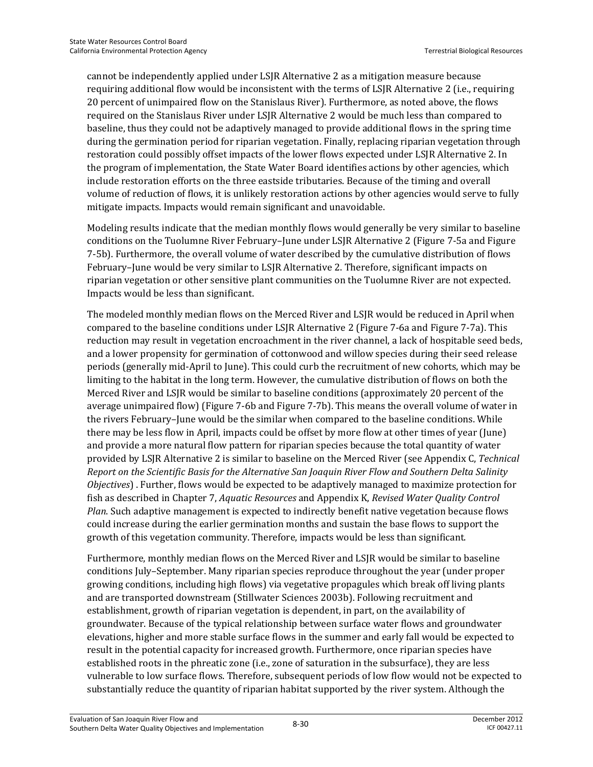cannot be independently applied under LSJR Alternative 2 as a mitigation measure because requiring additional flow would be inconsistent with the terms of LSJR Alternative 2 (i.e., requiring 20 percent of unimpaired flow on the Stanislaus River). Furthermore, as noted above, the flows required on the Stanislaus River under LSJR Alternative 2 would be much less than compared to baseline, thus they could not be adaptively managed to provide additional flows in the spring time during the germination period for riparian vegetation. Finally, replacing riparian vegetation through restoration could possibly offset impacts of the lower flows expected under LSJR Alternative 2. In the program of implementation, the State Water Board identifies actions by other agencies, which include restoration efforts on the three eastside tributaries. Because of the timing and overall volume of reduction of flows, it is unlikely restoration actions by other agencies would serve to fully mitigate impacts. Impacts would remain significant and unavoidable.

Modeling results indicate that the median monthly flows would generally be very similar to baseline conditions on the Tuolumne River February–June under LSJR Alternative 2 (Figure 7-5a and Figure 7-5b). Furthermore, the overall volume of water described by the cumulative distribution of flows February–June would be very similar to LSJR Alternative 2. Therefore, significant impacts on riparian vegetation or other sensitive plant communities on the Tuolumne River are not expected. Impacts would be less than significant.

The modeled monthly median flows on the Merced River and LSJR would be reduced in April when compared to the baseline conditions under LSJR Alternative 2 (Figure 7-6a and Figure 7-7a). This reduction may result in vegetation encroachment in the river channel, a lack of hospitable seed beds, and a lower propensity for germination of cottonwood and willow species during their seed release periods (generally mid-April to June). This could curb the recruitment of new cohorts, which may be limiting to the habitat in the long term. However, the cumulative distribution of flows on both the Merced River and LSJR would be similar to baseline conditions (approximately 20 percent of the average unimpaired flow) (Figure 7-6b and Figure 7-7b). This means the overall volume of water in the rivers February–June would be the similar when compared to the baseline conditions. While there may be less flow in April, impacts could be offset by more flow at other times of year (June) and provide a more natural flow pattern for riparian species because the total quantity of water provided by LSJR Alternative 2 is similar to baseline on the Merced River (see Appendix C, *Technical Report on the Scientific Basis for the Alternative San Joaquin River Flow and Southern Delta Salinity Objectives*) . Further, flows would be expected to be adaptively managed to maximize protection for fish as described in Chapter 7, *Aquatic Resources* and Appendix K, *Revised Water Quality Control Plan*. Such adaptive management is expected to indirectly benefit native vegetation because flows could increase during the earlier germination months and sustain the base flows to support the growth of this vegetation community. Therefore, impacts would be less than significant.

Furthermore, monthly median flows on the Merced River and LSJR would be similar to baseline conditions July–September. Many riparian species reproduce throughout the year (under proper growing conditions, including high flows) via vegetative propagules which break off living plants and are transported downstream (Stillwater Sciences 2003b). Following recruitment and establishment, growth of riparian vegetation is dependent, in part, on the availability of groundwater. Because of the typical relationship between surface water flows and groundwater elevations, higher and more stable surface flows in the summer and early fall would be expected to result in the potential capacity for increased growth. Furthermore, once riparian species have established roots in the phreatic zone (i.e., zone of saturation in the subsurface), they are less vulnerable to low surface flows. Therefore, subsequent periods of low flow would not be expected to substantially reduce the quantity of riparian habitat supported by the river system. Although the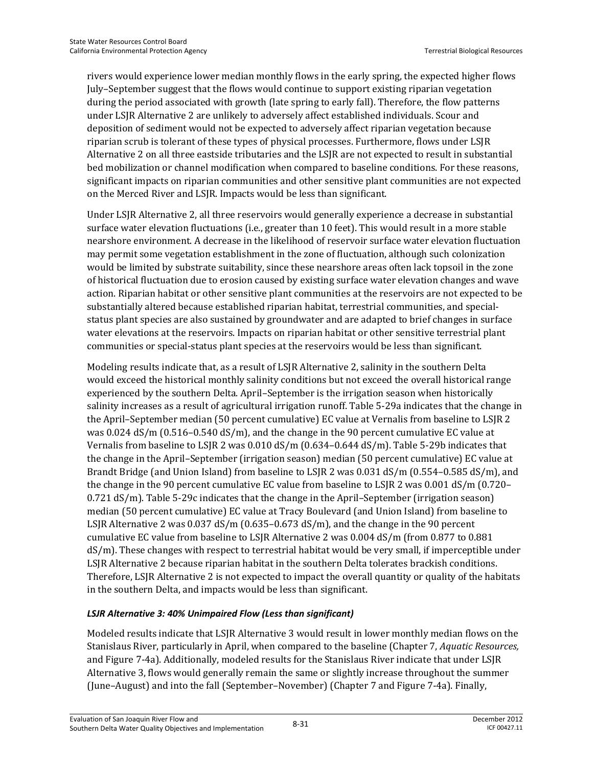rivers would experience lower median monthly flows in the early spring, the expected higher flows July–September suggest that the flows would continue to support existing riparian vegetation during the period associated with growth (late spring to early fall). Therefore, the flow patterns under LSJR Alternative 2 are unlikely to adversely affect established individuals. Scour and deposition of sediment would not be expected to adversely affect riparian vegetation because riparian scrub is tolerant of these types of physical processes. Furthermore, flows under LSJR Alternative 2 on all three eastside tributaries and the LSJR are not expected to result in substantial bed mobilization or channel modification when compared to baseline conditions. For these reasons, significant impacts on riparian communities and other sensitive plant communities are not expected on the Merced River and LSJR. Impacts would be less than significant.

Under LSJR Alternative 2, all three reservoirs would generally experience a decrease in substantial surface water elevation fluctuations (i.e., greater than 10 feet). This would result in a more stable nearshore environment. A decrease in the likelihood of reservoir surface water elevation fluctuation may permit some vegetation establishment in the zone of fluctuation, although such colonization would be limited by substrate suitability, since these nearshore areas often lack topsoil in the zone of historical fluctuation due to erosion caused by existing surface water elevation changes and wave action. Riparian habitat or other sensitive plant communities at the reservoirs are not expected to be substantially altered because established riparian habitat, terrestrial communities, and specialstatus plant species are also sustained by groundwater and are adapted to brief changes in surface water elevations at the reservoirs. Impacts on riparian habitat or other sensitive terrestrial plant communities or special-status plant species at the reservoirs would be less than significant.

Modeling results indicate that, as a result of LSJR Alternative 2, salinity in the southern Delta would exceed the historical monthly salinity conditions but not exceed the overall historical range experienced by the southern Delta. April–September is the irrigation season when historically salinity increases as a result of agricultural irrigation runoff. Table 5-29a indicates that the change in the April–September median (50 percent cumulative) EC value at Vernalis from baseline to LSJR 2 was 0.024 dS/m (0.516–0.540 dS/m), and the change in the 90 percent cumulative EC value at Vernalis from baseline to LSJR 2 was 0.010 dS/m (0.634–0.644 dS/m). Table 5-29b indicates that the change in the April–September (irrigation season) median (50 percent cumulative) EC value at Brandt Bridge (and Union Island) from baseline to LSJR 2 was 0.031 dS/m (0.554–0.585 dS/m), and the change in the 90 percent cumulative EC value from baseline to LSJR 2 was 0.001 dS/m (0.720– 0.721 dS/m). Table 5-29c indicates that the change in the April–September (irrigation season) median (50 percent cumulative) EC value at Tracy Boulevard (and Union Island) from baseline to LSJR Alternative 2 was  $0.037$  dS/m  $(0.635-0.673$  dS/m), and the change in the 90 percent cumulative EC value from baseline to LSJR Alternative 2 was 0.004 dS/m (from 0.877 to 0.881 dS/m). These changes with respect to terrestrial habitat would be very small, if imperceptible under LSJR Alternative 2 because riparian habitat in the southern Delta tolerates brackish conditions. Therefore, LSJR Alternative 2 is not expected to impact the overall quantity or quality of the habitats in the southern Delta, and impacts would be less than significant.

#### *LSJR Alternative 3: 40% Unimpaired Flow (Less than significant)*

Modeled results indicate that LSJR Alternative 3 would result in lower monthly median flows on the Stanislaus River, particularly in April, when compared to the baseline (Chapter 7, *Aquatic Resources,* and Figure 7-4a). Additionally, modeled results for the Stanislaus River indicate that under LSJR Alternative 3, flows would generally remain the same or slightly increase throughout the summer (June–August) and into the fall (September–November) (Chapter 7 and Figure 7-4a). Finally,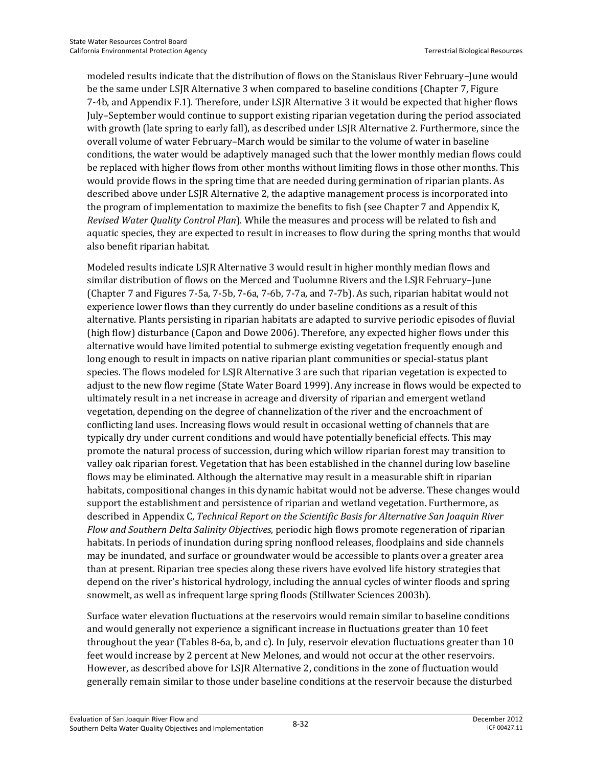modeled results indicate that the distribution of flows on the Stanislaus River February–June would be the same under LSJR Alternative 3 when compared to baseline conditions (Chapter 7, Figure 7-4b, and Appendix F.1). Therefore, under LSJR Alternative 3 it would be expected that higher flows July–September would continue to support existing riparian vegetation during the period associated with growth (late spring to early fall), as described under LSJR Alternative 2. Furthermore, since the overall volume of water February–March would be similar to the volume of water in baseline conditions, the water would be adaptively managed such that the lower monthly median flows could be replaced with higher flows from other months without limiting flows in those other months. This would provide flows in the spring time that are needed during germination of riparian plants. As described above under LSJR Alternative 2, the adaptive management process is incorporated into the program of implementation to maximize the benefits to fish (see Chapter 7 and Appendix K, *Revised Water Quality Control Plan*). While the measures and process will be related to fish and aquatic species, they are expected to result in increases to flow during the spring months that would also benefit riparian habitat.

Modeled results indicate LSJR Alternative 3 would result in higher monthly median flows and similar distribution of flows on the Merced and Tuolumne Rivers and the LSJR February–June (Chapter 7 and Figures 7-5a, 7-5b, 7-6a, 7-6b, 7-7a, and 7-7b). As such, riparian habitat would not experience lower flows than they currently do under baseline conditions as a result of this alternative. Plants persisting in riparian habitats are adapted to survive periodic episodes of fluvial (high flow) disturbance (Capon and Dowe 2006). Therefore, any expected higher flows under this alternative would have limited potential to submerge existing vegetation frequently enough and long enough to result in impacts on native riparian plant communities or special-status plant species. The flows modeled for LSJR Alternative 3 are such that riparian vegetation is expected to adjust to the new flow regime (State Water Board 1999). Any increase in flows would be expected to ultimately result in a net increase in acreage and diversity of riparian and emergent wetland vegetation, depending on the degree of channelization of the river and the encroachment of conflicting land uses. Increasing flows would result in occasional wetting of channels that are typically dry under current conditions and would have potentially beneficial effects. This may promote the natural process of succession, during which willow riparian forest may transition to valley oak riparian forest. Vegetation that has been established in the channel during low baseline flows may be eliminated. Although the alternative may result in a measurable shift in riparian habitats, compositional changes in this dynamic habitat would not be adverse. These changes would support the establishment and persistence of riparian and wetland vegetation. Furthermore, as described in Appendix C, *Technical Report on the Scientific Basis for Alternative San Joaquin River Flow and Southern Delta Salinity Objectives*, periodic high flows promote regeneration of riparian habitats. In periods of inundation during spring nonflood releases, floodplains and side channels may be inundated, and surface or groundwater would be accessible to plants over a greater area than at present. Riparian tree species along these rivers have evolved life history strategies that depend on the river's historical hydrology, including the annual cycles of winter floods and spring snowmelt, as well as infrequent large spring floods (Stillwater Sciences 2003b).

Surface water elevation fluctuations at the reservoirs would remain similar to baseline conditions and would generally not experience a significant increase in fluctuations greater than 10 feet throughout the year (Tables 8-6a, b, and c). In July, reservoir elevation fluctuations greater than 10 feet would increase by 2 percent at New Melones, and would not occur at the other reservoirs. However, as described above for LSJR Alternative 2, conditions in the zone of fluctuation would generally remain similar to those under baseline conditions at the reservoir because the disturbed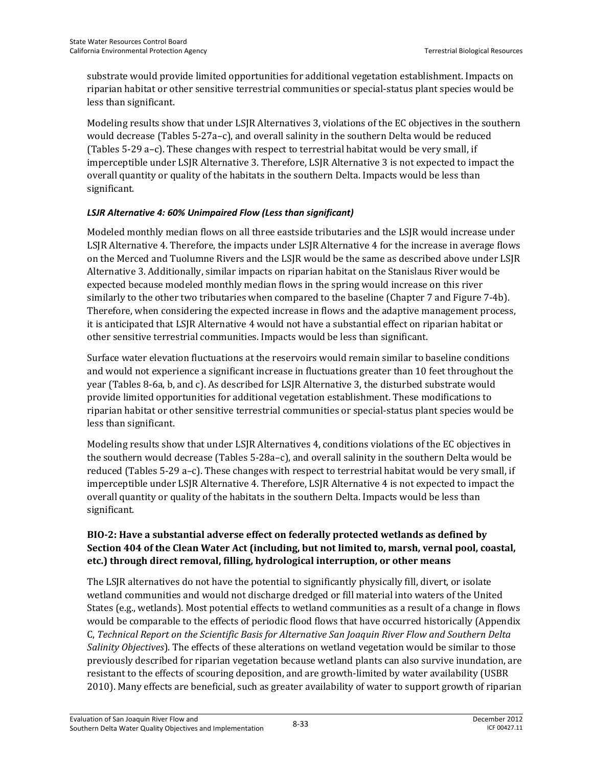substrate would provide limited opportunities for additional vegetation establishment. Impacts on riparian habitat or other sensitive terrestrial communities or special-status plant species would be less than significant.

Modeling results show that under LSJR Alternatives 3, violations of the EC objectives in the southern would decrease (Tables 5-27a–c), and overall salinity in the southern Delta would be reduced (Tables 5-29 a–c). These changes with respect to terrestrial habitat would be very small, if imperceptible under LSJR Alternative 3. Therefore, LSJR Alternative 3 is not expected to impact the overall quantity or quality of the habitats in the southern Delta. Impacts would be less than significant.

#### *LSJR Alternative 4: 60% Unimpaired Flow (Less than significant)*

Modeled monthly median flows on all three eastside tributaries and the LSJR would increase under LSJR Alternative 4. Therefore, the impacts under LSJR Alternative 4 for the increase in average flows on the Merced and Tuolumne Rivers and the LSJR would be the same as described above under LSJR Alternative 3. Additionally, similar impacts on riparian habitat on the Stanislaus River would be expected because modeled monthly median flows in the spring would increase on this river similarly to the other two tributaries when compared to the baseline (Chapter 7 and Figure 7-4b). Therefore, when considering the expected increase in flows and the adaptive management process, it is anticipated that LSJR Alternative 4 would not have a substantial effect on riparian habitat or other sensitive terrestrial communities. Impacts would be less than significant.

Surface water elevation fluctuations at the reservoirs would remain similar to baseline conditions and would not experience a significant increase in fluctuations greater than 10 feet throughout the year (Tables 8-6a, b, and c). As described for LSJR Alternative 3, the disturbed substrate would provide limited opportunities for additional vegetation establishment. These modifications to riparian habitat or other sensitive terrestrial communities or special-status plant species would be less than significant.

Modeling results show that under LSJR Alternatives 4, conditions violations of the EC objectives in the southern would decrease (Tables 5-28a–c), and overall salinity in the southern Delta would be reduced (Tables 5-29 a–c). These changes with respect to terrestrial habitat would be very small, if imperceptible under LSJR Alternative 4. Therefore, LSJR Alternative 4 is not expected to impact the overall quantity or quality of the habitats in the southern Delta. Impacts would be less than significant.

#### **BIO-2: Have a substantial adverse effect on federally protected wetlands as defined by Section 404 of the Clean Water Act (including, but not limited to, marsh, vernal pool, coastal, etc.) through direct removal, filling, hydrological interruption, or other means**

The LSJR alternatives do not have the potential to significantly physically fill, divert, or isolate wetland communities and would not discharge dredged or fill material into waters of the United States (e.g., wetlands). Most potential effects to wetland communities as a result of a change in flows would be comparable to the effects of periodic flood flows that have occurred historically (Appendix C, *Technical Report on the Scientific Basis for Alternative San Joaquin River Flow and Southern Delta Salinity Objectives*). The effects of these alterations on wetland vegetation would be similar to those previously described for riparian vegetation because wetland plants can also survive inundation, are resistant to the effects of scouring deposition, and are growth-limited by water availability (USBR 2010). Many effects are beneficial, such as greater availability of water to support growth of riparian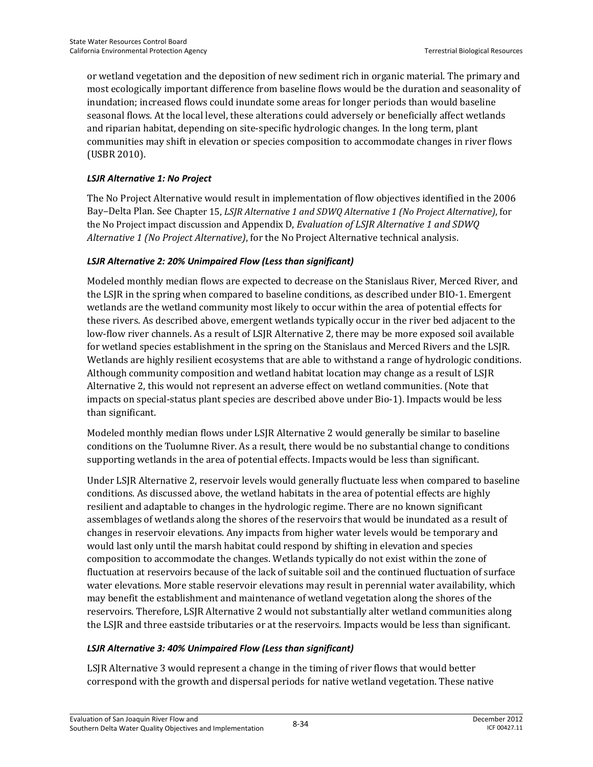or wetland vegetation and the deposition of new sediment rich in organic material. The primary and most ecologically important difference from baseline flows would be the duration and seasonality of inundation; increased flows could inundate some areas for longer periods than would baseline seasonal flows. At the local level, these alterations could adversely or beneficially affect wetlands and riparian habitat, depending on site-specific hydrologic changes. In the long term, plant communities may shift in elevation or species composition to accommodate changes in river flows (USBR 2010).

#### *LSJR Alternative 1: No Project*

The No Project Alternative would result in implementation of flow objectives identified in the 2006 Bay–Delta Plan. See Chapter 15, *LSJR Alternative 1 and SDWQ Alternative 1 (No Project Alternative)*, for the No Project impact discussion and Appendix D, *Evaluation of LSJR Alternative 1 and SDWQ Alternative 1 (No Project Alternative)*, for the No Project Alternative technical analysis.

#### *LSJR Alternative 2: 20% Unimpaired Flow (Less than significant)*

Modeled monthly median flows are expected to decrease on the Stanislaus River, Merced River, and the LSJR in the spring when compared to baseline conditions, as described under BIO-1. Emergent wetlands are the wetland community most likely to occur within the area of potential effects for these rivers. As described above, emergent wetlands typically occur in the river bed adjacent to the low-flow river channels. As a result of LSJR Alternative 2, there may be more exposed soil available for wetland species establishment in the spring on the Stanislaus and Merced Rivers and the LSJR. Wetlands are highly resilient ecosystems that are able to withstand a range of hydrologic conditions. Although community composition and wetland habitat location may change as a result of LSJR Alternative 2, this would not represent an adverse effect on wetland communities. (Note that impacts on special-status plant species are described above under Bio-1). Impacts would be less than significant.

Modeled monthly median flows under LSJR Alternative 2 would generally be similar to baseline conditions on the Tuolumne River. As a result, there would be no substantial change to conditions supporting wetlands in the area of potential effects. Impacts would be less than significant.

Under LSJR Alternative 2, reservoir levels would generally fluctuate less when compared to baseline conditions. As discussed above, the wetland habitats in the area of potential effects are highly resilient and adaptable to changes in the hydrologic regime. There are no known significant assemblages of wetlands along the shores of the reservoirs that would be inundated as a result of changes in reservoir elevations. Any impacts from higher water levels would be temporary and would last only until the marsh habitat could respond by shifting in elevation and species composition to accommodate the changes. Wetlands typically do not exist within the zone of fluctuation at reservoirs because of the lack of suitable soil and the continued fluctuation of surface water elevations. More stable reservoir elevations may result in perennial water availability, which may benefit the establishment and maintenance of wetland vegetation along the shores of the reservoirs. Therefore, LSJR Alternative 2 would not substantially alter wetland communities along the LSJR and three eastside tributaries or at the reservoirs. Impacts would be less than significant.

#### *LSJR Alternative 3: 40% Unimpaired Flow (Less than significant)*

LSJR Alternative 3 would represent a change in the timing of river flows that would better correspond with the growth and dispersal periods for native wetland vegetation. These native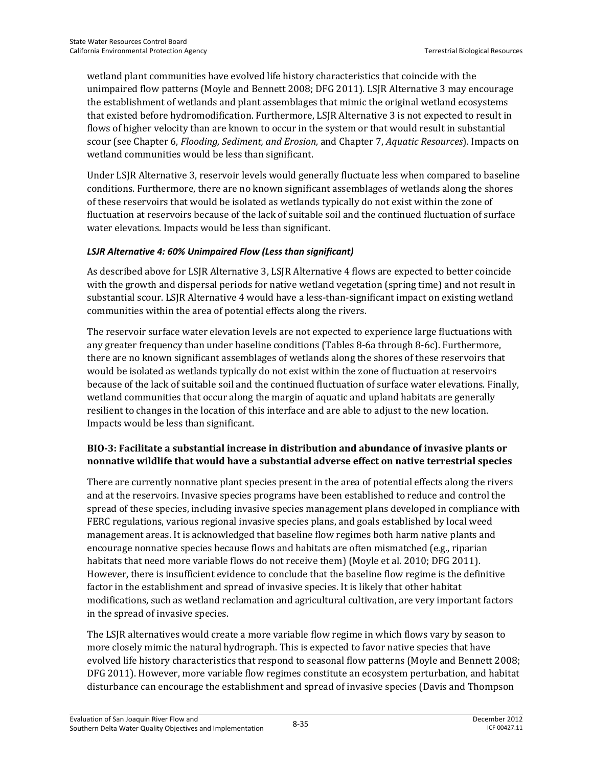wetland plant communities have evolved life history characteristics that coincide with the unimpaired flow patterns (Moyle and Bennett 2008; DFG 2011). LSJR Alternative 3 may encourage the establishment of wetlands and plant assemblages that mimic the original wetland ecosystems that existed before hydromodification. Furthermore, LSJR Alternative 3 is not expected to result in flows of higher velocity than are known to occur in the system or that would result in substantial scour (see Chapter 6, *Flooding, Sediment, and Erosion,* and Chapter 7, *Aquatic Resources*). Impacts on wetland communities would be less than significant.

Under LSJR Alternative 3, reservoir levels would generally fluctuate less when compared to baseline conditions. Furthermore, there are no known significant assemblages of wetlands along the shores of these reservoirs that would be isolated as wetlands typically do not exist within the zone of fluctuation at reservoirs because of the lack of suitable soil and the continued fluctuation of surface water elevations. Impacts would be less than significant.

#### *LSJR Alternative 4: 60% Unimpaired Flow (Less than significant)*

As described above for LSJR Alternative 3, LSJR Alternative 4 flows are expected to better coincide with the growth and dispersal periods for native wetland vegetation (spring time) and not result in substantial scour. LSJR Alternative 4 would have a less-than-significant impact on existing wetland communities within the area of potential effects along the rivers.

The reservoir surface water elevation levels are not expected to experience large fluctuations with any greater frequency than under baseline conditions (Tables 8-6a through 8-6c). Furthermore, there are no known significant assemblages of wetlands along the shores of these reservoirs that would be isolated as wetlands typically do not exist within the zone of fluctuation at reservoirs because of the lack of suitable soil and the continued fluctuation of surface water elevations. Finally, wetland communities that occur along the margin of aquatic and upland habitats are generally resilient to changes in the location of this interface and are able to adjust to the new location. Impacts would be less than significant.

#### **BIO-3: Facilitate a substantial increase in distribution and abundance of invasive plants or nonnative wildlife that would have a substantial adverse effect on native terrestrial species**

There are currently nonnative plant species present in the area of potential effects along the rivers and at the reservoirs. Invasive species programs have been established to reduce and control the spread of these species, including invasive species management plans developed in compliance with FERC regulations, various regional invasive species plans, and goals established by local weed management areas. It is acknowledged that baseline flow regimes both harm native plants and encourage nonnative species because flows and habitats are often mismatched (e.g., riparian habitats that need more variable flows do not receive them) (Moyle et al. 2010; DFG 2011). However, there is insufficient evidence to conclude that the baseline flow regime is the definitive factor in the establishment and spread of invasive species. It is likely that other habitat modifications, such as wetland reclamation and agricultural cultivation, are very important factors in the spread of invasive species.

The LSJR alternatives would create a more variable flow regime in which flows vary by season to more closely mimic the natural hydrograph. This is expected to favor native species that have evolved life history characteristics that respond to seasonal flow patterns (Moyle and Bennett 2008; DFG 2011). However, more variable flow regimes constitute an ecosystem perturbation, and habitat disturbance can encourage the establishment and spread of invasive species (Davis and Thompson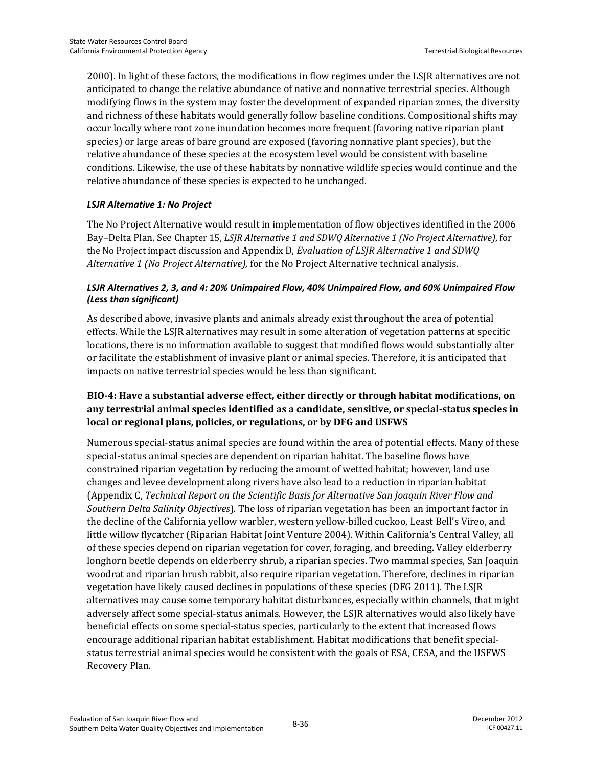2000). In light of these factors, the modifications in flow regimes under the LSJR alternatives are not anticipated to change the relative abundance of native and nonnative terrestrial species. Although modifying flows in the system may foster the development of expanded riparian zones, the diversity and richness of these habitats would generally follow baseline conditions. Compositional shifts may occur locally where root zone inundation becomes more frequent (favoring native riparian plant species) or large areas of bare ground are exposed (favoring nonnative plant species), but the relative abundance of these species at the ecosystem level would be consistent with baseline conditions. Likewise, the use of these habitats by nonnative wildlife species would continue and the relative abundance of these species is expected to be unchanged.

#### *LSJR Alternative 1: No Project*

The No Project Alternative would result in implementation of flow objectives identified in the 2006 Bay–Delta Plan. See Chapter 15, *LSJR Alternative 1 and SDWQ Alternative 1 (No Project Alternative)*, for the No Project impact discussion and Appendix D, *Evaluation of LSJR Alternative 1 and SDWQ Alternative 1 (No Project Alternative),* for the No Project Alternative technical analysis.

#### *LSJR Alternatives 2, 3, and 4: 20% Unimpaired Flow, 40% Unimpaired Flow, and 60% Unimpaired Flow (Less than significant)*

As described above, invasive plants and animals already exist throughout the area of potential effects. While the LSJR alternatives may result in some alteration of vegetation patterns at specific locations, there is no information available to suggest that modified flows would substantially alter or facilitate the establishment of invasive plant or animal species. Therefore, it is anticipated that impacts on native terrestrial species would be less than significant.

#### **BIO-4: Have a substantial adverse effect, either directly or through habitat modifications, on any terrestrial animal species identified as a candidate, sensitive, or special-status species in local or regional plans, policies, or regulations, or by DFG and USFWS**

Numerous special-status animal species are found within the area of potential effects. Many of these special-status animal species are dependent on riparian habitat. The baseline flows have constrained riparian vegetation by reducing the amount of wetted habitat; however, land use changes and levee development along rivers have also lead to a reduction in riparian habitat (Appendix C, *Technical Report on the Scientific Basis for Alternative San Joaquin River Flow and Southern Delta Salinity Objectives*). The loss of riparian vegetation has been an important factor in the decline of the California yellow warbler, western yellow-billed cuckoo, Least Bell's Vireo, and little willow flycatcher (Riparian Habitat Joint Venture 2004). Within California's Central Valley, all of these species depend on riparian vegetation for cover, foraging, and breeding. Valley elderberry longhorn beetle depends on elderberry shrub, a riparian species. Two mammal species, San Joaquin woodrat and riparian brush rabbit, also require riparian vegetation. Therefore, declines in riparian vegetation have likely caused declines in populations of these species (DFG 2011). The LSJR alternatives may cause some temporary habitat disturbances, especially within channels, that might adversely affect some special-status animals. However, the LSJR alternatives would also likely have beneficial effects on some special-status species, particularly to the extent that increased flows encourage additional riparian habitat establishment. Habitat modifications that benefit specialstatus terrestrial animal species would be consistent with the goals of ESA, CESA, and the USFWS Recovery Plan.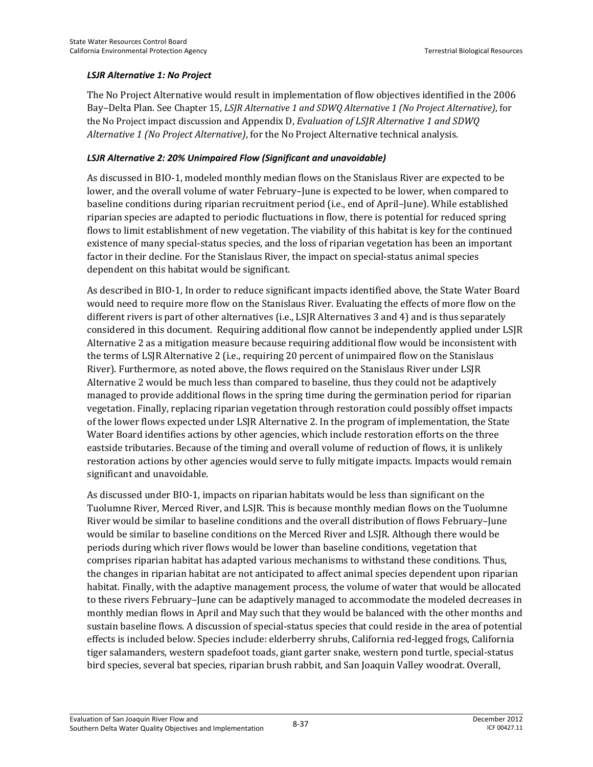#### *LSJR Alternative 1: No Project*

The No Project Alternative would result in implementation of flow objectives identified in the 2006 Bay–Delta Plan. See Chapter 15, *LSJR Alternative 1 and SDWQ Alternative 1 (No Project Alternative)*, for the No Project impact discussion and Appendix D, *Evaluation of LSJR Alternative 1 and SDWQ Alternative 1 (No Project Alternative)*, for the No Project Alternative technical analysis.

#### *LSJR Alternative 2: 20% Unimpaired Flow (Significant and unavoidable)*

As discussed in BIO-1, modeled monthly median flows on the Stanislaus River are expected to be lower, and the overall volume of water February–June is expected to be lower, when compared to baseline conditions during riparian recruitment period (i.e., end of April–June). While established riparian species are adapted to periodic fluctuations in flow, there is potential for reduced spring flows to limit establishment of new vegetation. The viability of this habitat is key for the continued existence of many special-status species, and the loss of riparian vegetation has been an important factor in their decline. For the Stanislaus River, the impact on special-status animal species dependent on this habitat would be significant.

As described in BIO-1, In order to reduce significant impacts identified above, the State Water Board would need to require more flow on the Stanislaus River. Evaluating the effects of more flow on the different rivers is part of other alternatives (i.e., LSJR Alternatives 3 and 4) and is thus separately considered in this document. Requiring additional flow cannot be independently applied under LSJR Alternative 2 as a mitigation measure because requiring additional flow would be inconsistent with the terms of LSJR Alternative 2 (i.e., requiring 20 percent of unimpaired flow on the Stanislaus River). Furthermore, as noted above, the flows required on the Stanislaus River under LSJR Alternative 2 would be much less than compared to baseline, thus they could not be adaptively managed to provide additional flows in the spring time during the germination period for riparian vegetation. Finally, replacing riparian vegetation through restoration could possibly offset impacts of the lower flows expected under LSJR Alternative 2. In the program of implementation, the State Water Board identifies actions by other agencies, which include restoration efforts on the three eastside tributaries. Because of the timing and overall volume of reduction of flows, it is unlikely restoration actions by other agencies would serve to fully mitigate impacts. Impacts would remain significant and unavoidable.

As discussed under BIO-1, impacts on riparian habitats would be less than significant on the Tuolumne River, Merced River, and LSJR. This is because monthly median flows on the Tuolumne River would be similar to baseline conditions and the overall distribution of flows February–June would be similar to baseline conditions on the Merced River and LSJR. Although there would be periods during which river flows would be lower than baseline conditions, vegetation that comprises riparian habitat has adapted various mechanisms to withstand these conditions. Thus, the changes in riparian habitat are not anticipated to affect animal species dependent upon riparian habitat. Finally, with the adaptive management process, the volume of water that would be allocated to these rivers February–June can be adaptively managed to accommodate the modeled decreases in monthly median flows in April and May such that they would be balanced with the other months and sustain baseline flows. A discussion of special-status species that could reside in the area of potential effects is included below. Species include: elderberry shrubs, California red-legged frogs, California tiger salamanders, western spadefoot toads, giant garter snake, western pond turtle, special-status bird species, several bat species, riparian brush rabbit, and San Joaquin Valley woodrat. Overall,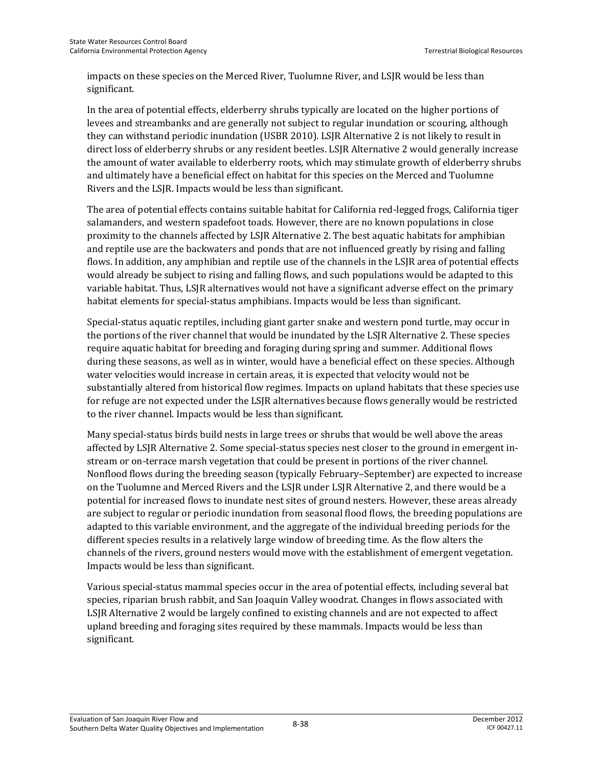impacts on these species on the Merced River, Tuolumne River, and LSJR would be less than significant.

In the area of potential effects, elderberry shrubs typically are located on the higher portions of levees and streambanks and are generally not subject to regular inundation or scouring, although they can withstand periodic inundation (USBR 2010). LSJR Alternative 2 is not likely to result in direct loss of elderberry shrubs or any resident beetles. LSJR Alternative 2 would generally increase the amount of water available to elderberry roots, which may stimulate growth of elderberry shrubs and ultimately have a beneficial effect on habitat for this species on the Merced and Tuolumne Rivers and the LSJR. Impacts would be less than significant.

The area of potential effects contains suitable habitat for California red-legged frogs, California tiger salamanders, and western spadefoot toads. However, there are no known populations in close proximity to the channels affected by LSJR Alternative 2. The best aquatic habitats for amphibian and reptile use are the backwaters and ponds that are not influenced greatly by rising and falling flows. In addition, any amphibian and reptile use of the channels in the LSJR area of potential effects would already be subject to rising and falling flows, and such populations would be adapted to this variable habitat. Thus, LSJR alternatives would not have a significant adverse effect on the primary habitat elements for special-status amphibians. Impacts would be less than significant.

Special-status aquatic reptiles, including giant garter snake and western pond turtle, may occur in the portions of the river channel that would be inundated by the LSJR Alternative 2. These species require aquatic habitat for breeding and foraging during spring and summer. Additional flows during these seasons, as well as in winter, would have a beneficial effect on these species. Although water velocities would increase in certain areas, it is expected that velocity would not be substantially altered from historical flow regimes. Impacts on upland habitats that these species use for refuge are not expected under the LSJR alternatives because flows generally would be restricted to the river channel. Impacts would be less than significant.

Many special-status birds build nests in large trees or shrubs that would be well above the areas affected by LSJR Alternative 2. Some special-status species nest closer to the ground in emergent instream or on-terrace marsh vegetation that could be present in portions of the river channel. Nonflood flows during the breeding season (typically February–September) are expected to increase on the Tuolumne and Merced Rivers and the LSJR under LSJR Alternative 2, and there would be a potential for increased flows to inundate nest sites of ground nesters. However, these areas already are subject to regular or periodic inundation from seasonal flood flows, the breeding populations are adapted to this variable environment, and the aggregate of the individual breeding periods for the different species results in a relatively large window of breeding time. As the flow alters the channels of the rivers, ground nesters would move with the establishment of emergent vegetation. Impacts would be less than significant.

Various special-status mammal species occur in the area of potential effects, including several bat species, riparian brush rabbit, and San Joaquin Valley woodrat. Changes in flows associated with LSJR Alternative 2 would be largely confined to existing channels and are not expected to affect upland breeding and foraging sites required by these mammals. Impacts would be less than significant.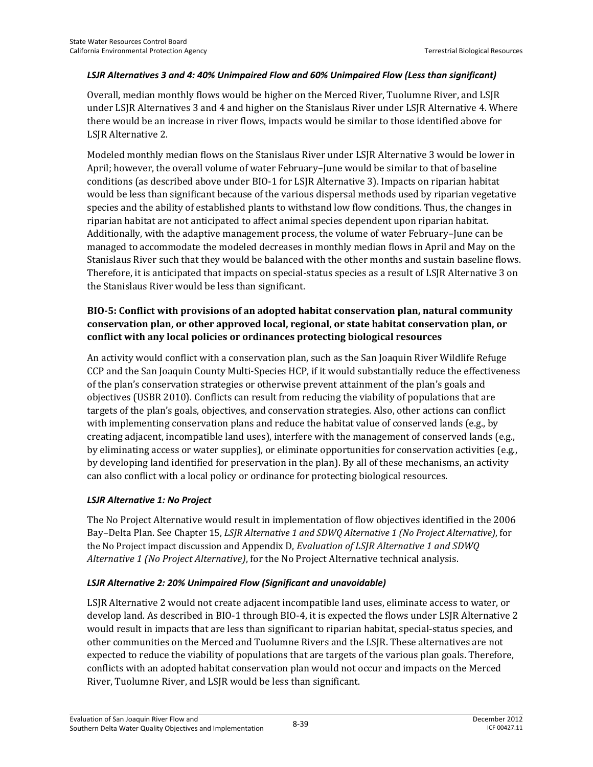#### *LSJR Alternatives 3 and 4: 40% Unimpaired Flow and 60% Unimpaired Flow (Less than significant)*

Overall, median monthly flows would be higher on the Merced River, Tuolumne River, and LSJR under LSJR Alternatives 3 and 4 and higher on the Stanislaus River under LSJR Alternative 4. Where there would be an increase in river flows, impacts would be similar to those identified above for LSJR Alternative 2.

Modeled monthly median flows on the Stanislaus River under LSJR Alternative 3 would be lower in April; however, the overall volume of water February–June would be similar to that of baseline conditions (as described above under BIO-1 for LSJR Alternative 3). Impacts on riparian habitat would be less than significant because of the various dispersal methods used by riparian vegetative species and the ability of established plants to withstand low flow conditions. Thus, the changes in riparian habitat are not anticipated to affect animal species dependent upon riparian habitat. Additionally, with the adaptive management process, the volume of water February–June can be managed to accommodate the modeled decreases in monthly median flows in April and May on the Stanislaus River such that they would be balanced with the other months and sustain baseline flows. Therefore, it is anticipated that impacts on special-status species as a result of LSJR Alternative 3 on the Stanislaus River would be less than significant.

#### **BIO-5: Conflict with provisions of an adopted habitat conservation plan, natural community conservation plan, or other approved local, regional, or state habitat conservation plan, or conflict with any local policies or ordinances protecting biological resources**

An activity would conflict with a conservation plan, such as the San Joaquin River Wildlife Refuge CCP and the San Joaquin County Multi-Species HCP, if it would substantially reduce the effectiveness of the plan's conservation strategies or otherwise prevent attainment of the plan's goals and objectives (USBR 2010). Conflicts can result from reducing the viability of populations that are targets of the plan's goals, objectives, and conservation strategies. Also, other actions can conflict with implementing conservation plans and reduce the habitat value of conserved lands (e.g., by creating adjacent, incompatible land uses), interfere with the management of conserved lands (e.g., by eliminating access or water supplies), or eliminate opportunities for conservation activities (e.g., by developing land identified for preservation in the plan). By all of these mechanisms, an activity can also conflict with a local policy or ordinance for protecting biological resources.

#### *LSJR Alternative 1: No Project*

The No Project Alternative would result in implementation of flow objectives identified in the 2006 Bay–Delta Plan. See Chapter 15, *LSJR Alternative 1 and SDWQ Alternative 1 (No Project Alternative)*, for the No Project impact discussion and Appendix D, *Evaluation of LSJR Alternative 1 and SDWQ Alternative 1 (No Project Alternative)*, for the No Project Alternative technical analysis.

#### *LSJR Alternative 2: 20% Unimpaired Flow (Significant and unavoidable)*

LSJR Alternative 2 would not create adjacent incompatible land uses, eliminate access to water, or develop land. As described in BIO-1 through BIO-4, it is expected the flows under LSJR Alternative 2 would result in impacts that are less than significant to riparian habitat, special-status species, and other communities on the Merced and Tuolumne Rivers and the LSJR. These alternatives are not expected to reduce the viability of populations that are targets of the various plan goals. Therefore, conflicts with an adopted habitat conservation plan would not occur and impacts on the Merced River, Tuolumne River, and LSJR would be less than significant.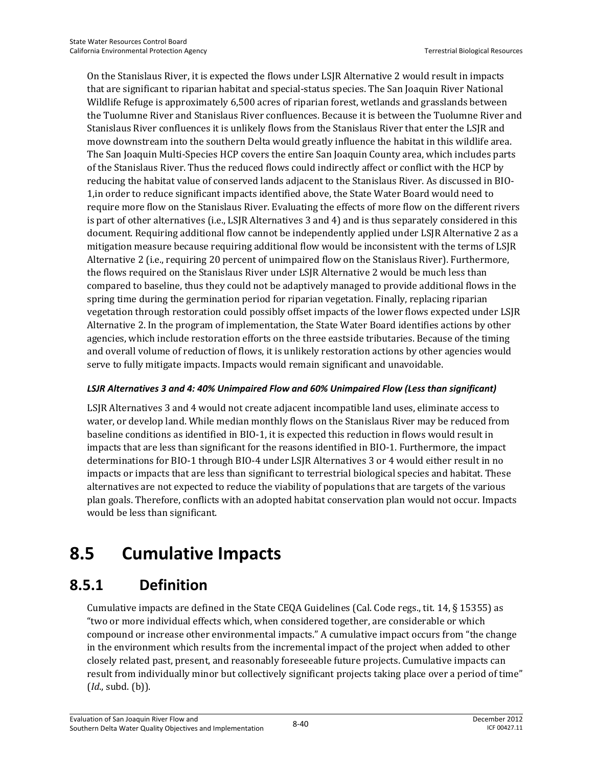On the Stanislaus River, it is expected the flows under LSJR Alternative 2 would result in impacts that are significant to riparian habitat and special-status species. The San Joaquin River National Wildlife Refuge is approximately 6,500 acres of riparian forest, wetlands and grasslands between the Tuolumne River and Stanislaus River confluences. Because it is between the Tuolumne River and Stanislaus River confluences it is unlikely flows from the Stanislaus River that enter the LSJR and move downstream into the southern Delta would greatly influence the habitat in this wildlife area. The San Joaquin Multi-Species HCP covers the entire San Joaquin County area, which includes parts of the Stanislaus River. Thus the reduced flows could indirectly affect or conflict with the HCP by reducing the habitat value of conserved lands adjacent to the Stanislaus River. As discussed in BIO-1,in order to reduce significant impacts identified above, the State Water Board would need to require more flow on the Stanislaus River. Evaluating the effects of more flow on the different rivers is part of other alternatives (i.e., LSJR Alternatives 3 and 4) and is thus separately considered in this document. Requiring additional flow cannot be independently applied under LSJR Alternative 2 as a mitigation measure because requiring additional flow would be inconsistent with the terms of LSJR Alternative 2 (i.e., requiring 20 percent of unimpaired flow on the Stanislaus River). Furthermore, the flows required on the Stanislaus River under LSJR Alternative 2 would be much less than compared to baseline, thus they could not be adaptively managed to provide additional flows in the spring time during the germination period for riparian vegetation. Finally, replacing riparian vegetation through restoration could possibly offset impacts of the lower flows expected under LSJR Alternative 2. In the program of implementation, the State Water Board identifies actions by other agencies, which include restoration efforts on the three eastside tributaries. Because of the timing and overall volume of reduction of flows, it is unlikely restoration actions by other agencies would serve to fully mitigate impacts. Impacts would remain significant and unavoidable.

#### *LSJR Alternatives 3 and 4: 40% Unimpaired Flow and 60% Unimpaired Flow (Less than significant)*

LSJR Alternatives 3 and 4 would not create adjacent incompatible land uses, eliminate access to water, or develop land. While median monthly flows on the Stanislaus River may be reduced from baseline conditions as identified in BIO-1, it is expected this reduction in flows would result in impacts that are less than significant for the reasons identified in BIO-1. Furthermore, the impact determinations for BIO-1 through BIO-4 under LSJR Alternatives 3 or 4 would either result in no impacts or impacts that are less than significant to terrestrial biological species and habitat. These alternatives are not expected to reduce the viability of populations that are targets of the various plan goals. Therefore, conflicts with an adopted habitat conservation plan would not occur. Impacts would be less than significant.

# **8.5 Cumulative Impacts**

# **8.5.1 Definition**

Cumulative impacts are defined in the State CEQA Guidelines (Cal. Code regs., tit. 14, § 15355) as "two or more individual effects which, when considered together, are considerable or which compound or increase other environmental impacts." A cumulative impact occurs from "the change in the environment which results from the incremental impact of the project when added to other closely related past, present, and reasonably foreseeable future projects. Cumulative impacts can result from individually minor but collectively significant projects taking place over a period of time" (*Id*., subd. (b)).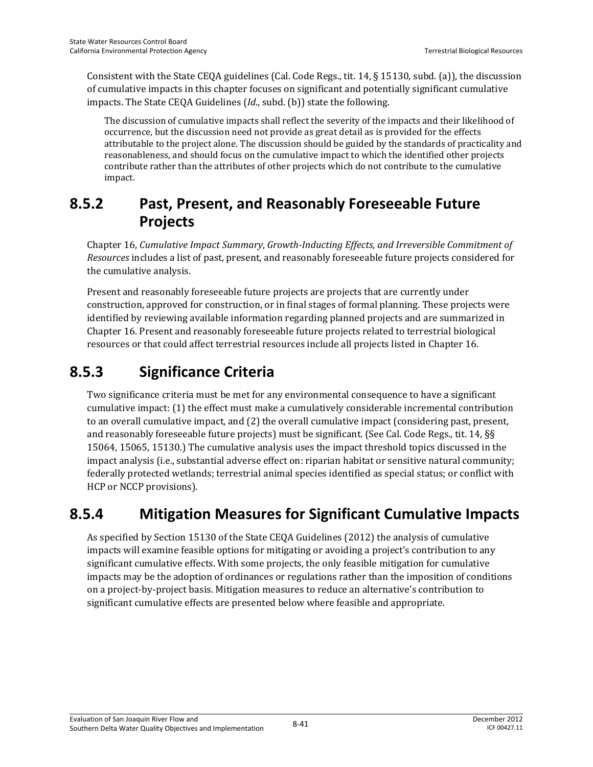Consistent with the State CEQA guidelines (Cal. Code Regs., tit. 14, § 15130, subd. (a)), the discussion of cumulative impacts in this chapter focuses on significant and potentially significant cumulative impacts. The State CEQA Guidelines (*Id*., subd. (b)) state the following.

The discussion of cumulative impacts shall reflect the severity of the impacts and their likelihood of occurrence, but the discussion need not provide as great detail as is provided for the effects attributable to the project alone. The discussion should be guided by the standards of practicality and reasonableness, and should focus on the cumulative impact to which the identified other projects contribute rather than the attributes of other projects which do not contribute to the cumulative impact.

# **8.5.2 Past, Present, and Reasonably Foreseeable Future Projects**

Chapter 16, *Cumulative Impact Summary*, *Growth-Inducting Effects, and Irreversible Commitment of Resources* includes a list of past, present, and reasonably foreseeable future projects considered for the cumulative analysis.

Present and reasonably foreseeable future projects are projects that are currently under construction, approved for construction, or in final stages of formal planning. These projects were identified by reviewing available information regarding planned projects and are summarized in Chapter 16. Present and reasonably foreseeable future projects related to terrestrial biological resources or that could affect terrestrial resources include all projects listed in Chapter 16.

# **8.5.3 Significance Criteria**

Two significance criteria must be met for any environmental consequence to have a significant cumulative impact: (1) the effect must make a cumulatively considerable incremental contribution to an overall cumulative impact, and (2) the overall cumulative impact (considering past, present, and reasonably foreseeable future projects) must be significant. (See Cal. Code Regs., tit. 14, §§ 15064, 15065, 15130.) The cumulative analysis uses the impact threshold topics discussed in the impact analysis (i.e., substantial adverse effect on: riparian habitat or sensitive natural community; federally protected wetlands; terrestrial animal species identified as special status; or conflict with HCP or NCCP provisions).

# **8.5.4 Mitigation Measures for Significant Cumulative Impacts**

As specified by Section 15130 of the State CEQA Guidelines (2012) the analysis of cumulative impacts will examine feasible options for mitigating or avoiding a project's contribution to any significant cumulative effects. With some projects, the only feasible mitigation for cumulative impacts may be the adoption of ordinances or regulations rather than the imposition of conditions on a project-by-project basis. Mitigation measures to reduce an alternative's contribution to significant cumulative effects are presented below where feasible and appropriate.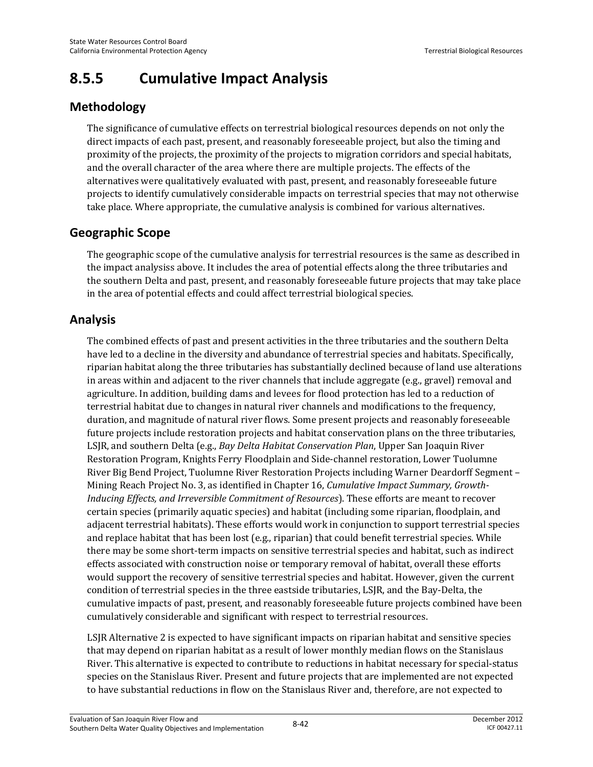# **8.5.5 Cumulative Impact Analysis**

# **Methodology**

The significance of cumulative effects on terrestrial biological resources depends on not only the direct impacts of each past, present, and reasonably foreseeable project, but also the timing and proximity of the projects, the proximity of the projects to migration corridors and special habitats, and the overall character of the area where there are multiple projects. The effects of the alternatives were qualitatively evaluated with past, present, and reasonably foreseeable future projects to identify cumulatively considerable impacts on terrestrial species that may not otherwise take place. Where appropriate, the cumulative analysis is combined for various alternatives.

## **Geographic Scope**

The geographic scope of the cumulative analysis for terrestrial resources is the same as described in the impact analysiss above. It includes the area of potential effects along the three tributaries and the southern Delta and past, present, and reasonably foreseeable future projects that may take place in the area of potential effects and could affect terrestrial biological species.

### **Analysis**

The combined effects of past and present activities in the three tributaries and the southern Delta have led to a decline in the diversity and abundance of terrestrial species and habitats. Specifically, riparian habitat along the three tributaries has substantially declined because of land use alterations in areas within and adjacent to the river channels that include aggregate (e.g., gravel) removal and agriculture. In addition, building dams and levees for flood protection has led to a reduction of terrestrial habitat due to changes in natural river channels and modifications to the frequency, duration, and magnitude of natural river flows. Some present projects and reasonably foreseeable future projects include restoration projects and habitat conservation plans on the three tributaries, LSJR, and southern Delta (e.g., *Bay Delta Habitat Conservation Plan*, Upper San Joaquin River Restoration Program, Knights Ferry Floodplain and Side-channel restoration, Lower Tuolumne River Big Bend Project, Tuolumne River Restoration Projects including Warner Deardorff Segment – Mining Reach Project No. 3, as identified in Chapter 16, *Cumulative Impact Summary, Growth-Inducing Effects, and Irreversible Commitment of Resources*). These efforts are meant to recover certain species (primarily aquatic species) and habitat (including some riparian, floodplain, and adjacent terrestrial habitats). These efforts would work in conjunction to support terrestrial species and replace habitat that has been lost (e.g., riparian) that could benefit terrestrial species. While there may be some short-term impacts on sensitive terrestrial species and habitat, such as indirect effects associated with construction noise or temporary removal of habitat, overall these efforts would support the recovery of sensitive terrestrial species and habitat. However, given the current condition of terrestrial species in the three eastside tributaries, LSJR, and the Bay-Delta, the cumulative impacts of past, present, and reasonably foreseeable future projects combined have been cumulatively considerable and significant with respect to terrestrial resources.

LSJR Alternative 2 is expected to have significant impacts on riparian habitat and sensitive species that may depend on riparian habitat as a result of lower monthly median flows on the Stanislaus River. This alternative is expected to contribute to reductions in habitat necessary for special-status species on the Stanislaus River. Present and future projects that are implemented are not expected to have substantial reductions in flow on the Stanislaus River and, therefore, are not expected to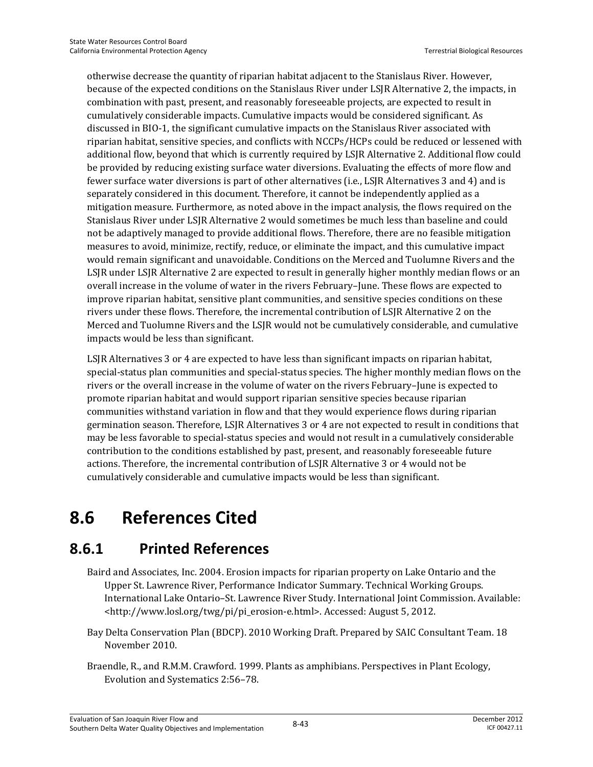otherwise decrease the quantity of riparian habitat adjacent to the Stanislaus River. However, because of the expected conditions on the Stanislaus River under LSJR Alternative 2, the impacts, in combination with past, present, and reasonably foreseeable projects, are expected to result in cumulatively considerable impacts. Cumulative impacts would be considered significant. As discussed in BIO-1, the significant cumulative impacts on the Stanislaus River associated with riparian habitat, sensitive species, and conflicts with NCCPs/HCPs could be reduced or lessened with additional flow, beyond that which is currently required by LSJR Alternative 2. Additional flow could be provided by reducing existing surface water diversions. Evaluating the effects of more flow and fewer surface water diversions is part of other alternatives (i.e., LSJR Alternatives 3 and 4) and is separately considered in this document. Therefore, it cannot be independently applied as a mitigation measure. Furthermore, as noted above in the impact analysis, the flows required on the Stanislaus River under LSJR Alternative 2 would sometimes be much less than baseline and could not be adaptively managed to provide additional flows. Therefore, there are no feasible mitigation measures to avoid, minimize, rectify, reduce, or eliminate the impact, and this cumulative impact would remain significant and unavoidable. Conditions on the Merced and Tuolumne Rivers and the LSJR under LSJR Alternative 2 are expected to result in generally higher monthly median flows or an overall increase in the volume of water in the rivers February–June. These flows are expected to improve riparian habitat, sensitive plant communities, and sensitive species conditions on these rivers under these flows. Therefore, the incremental contribution of LSJR Alternative 2 on the Merced and Tuolumne Rivers and the LSJR would not be cumulatively considerable, and cumulative impacts would be less than significant.

LSJR Alternatives 3 or 4 are expected to have less than significant impacts on riparian habitat, special-status plan communities and special-status species. The higher monthly median flows on the rivers or the overall increase in the volume of water on the rivers February–June is expected to promote riparian habitat and would support riparian sensitive species because riparian communities withstand variation in flow and that they would experience flows during riparian germination season. Therefore, LSJR Alternatives 3 or 4 are not expected to result in conditions that may be less favorable to special-status species and would not result in a cumulatively considerable contribution to the conditions established by past, present, and reasonably foreseeable future actions. Therefore, the incremental contribution of LSJR Alternative 3 or 4 would not be cumulatively considerable and cumulative impacts would be less than significant.

# **8.6 References Cited**

# **8.6.1 Printed References**

- Baird and Associates, Inc. 2004. Erosion impacts for riparian property on Lake Ontario and the Upper St. Lawrence River, Performance Indicator Summary. Technical Working Groups. International Lake Ontario–St. Lawrence River Study. International Joint Commission. Available: <http://www.losl.org/twg/pi/pi\_erosion-e.html>. Accessed: August 5, 2012.
- Bay Delta Conservation Plan (BDCP). 2010 Working Draft. Prepared by SAIC Consultant Team. 18 November 2010.
- Braendle, R., and R.M.M. Crawford. 1999. Plants as amphibians. Perspectives in Plant Ecology, Evolution and Systematics 2:56–78.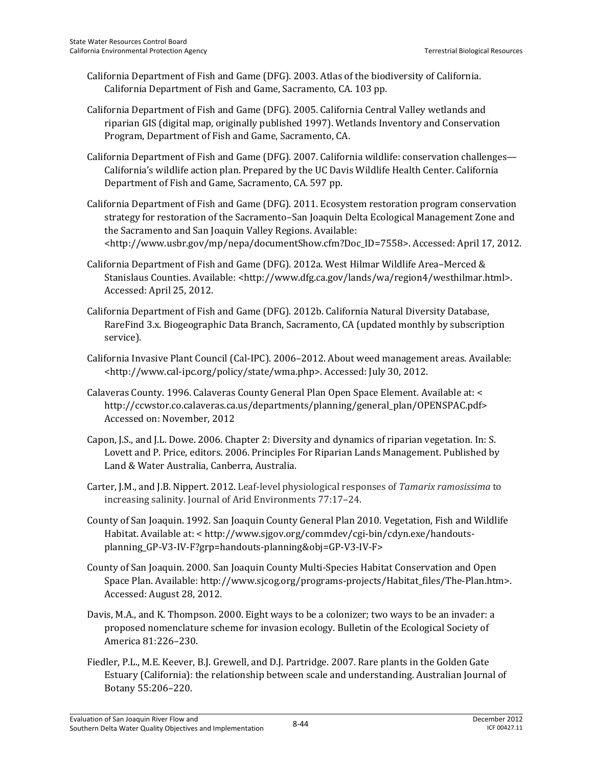- California Department of Fish and Game (DFG). 2003. Atlas of the biodiversity of California. California Department of Fish and Game, Sacramento, CA. 103 pp.
- California Department of Fish and Game (DFG). 2005. California Central Valley wetlands and riparian GIS (digital map, originally published 1997). Wetlands Inventory and Conservation Program, Department of Fish and Game, Sacramento, CA.
- California Department of Fish and Game (DFG). 2007. California wildlife: conservation challenges— California's wildlife action plan. Prepared by the UC Davis Wildlife Health Center. California Department of Fish and Game, Sacramento, CA. 597 pp.
- California Department of Fish and Game (DFG). 2011. Ecosystem restoration program conservation strategy for restoration of the Sacramento–San Joaquin Delta Ecological Management Zone and the Sacramento and San Joaquin Valley Regions. Available: <http://www.usbr.gov/mp/nepa/documentShow.cfm?Doc\_ID=7558>. Accessed: April 17, 2012.
- California Department of Fish and Game (DFG). 2012a. West Hilmar Wildlife Area–Merced & Stanislaus Counties. Available: <http://www.dfg.ca.gov/lands/wa/region4/westhilmar.html>. Accessed: April 25, 2012.
- California Department of Fish and Game (DFG). 2012b. California Natural Diversity Database, RareFind 3.x. Biogeographic Data Branch, Sacramento, CA (updated monthly by subscription service).
- California Invasive Plant Council (Cal-IPC). 2006–2012. About weed management areas. Available: <http://www.cal-ipc.org/policy/state/wma.php>. Accessed: July 30, 2012.
- Calaveras County. 1996. Calaveras County General Plan Open Space Element. Available at: < http://ccwstor.co.calaveras.ca.us/departments/planning/general\_plan/OPENSPAC.pdf> Accessed on: November, 2012
- Capon, J.S., and J.L. Dowe. 2006. Chapter 2: Diversity and dynamics of riparian vegetation. In: S. Lovett and P. Price, editors. 2006. Principles For Riparian Lands Management. Published by Land & Water Australia, Canberra, Australia.
- Carter, J.M., and J.B. Nippert. 2012. Leaf-level physiological responses of *Tamarix ramosissima* to increasing salinity. Journal of Arid Environments 77:17–24.
- County of San Joaquin. 1992. San Joaquin County General Plan 2010. Vegetation, Fish and Wildlife Habitat. Available at: < http://www.sjgov.org/commdev/cgi-bin/cdyn.exe/handoutsplanning\_GP-V3-IV-F?grp=handouts-planning&obj=GP-V3-IV-F>
- County of San Joaquin. 2000. San Joaquin County Multi-Species Habitat Conservation and Open Space Plan. Available: http://www.sjcog.org/programs-projects/Habitat\_files/The-Plan.htm>. Accessed: August 28, 2012.
- Davis, M.A., and K. Thompson. 2000. Eight ways to be a colonizer; two ways to be an invader: a proposed nomenclature scheme for invasion ecology. Bulletin of the Ecological Society of America 81:226–230.
- Fiedler, P.L., M.E. Keever, B.J. Grewell, and D.J. Partridge. 2007. Rare plants in the Golden Gate Estuary (California): the relationship between scale and understanding. Australian Journal of Botany 55:206–220.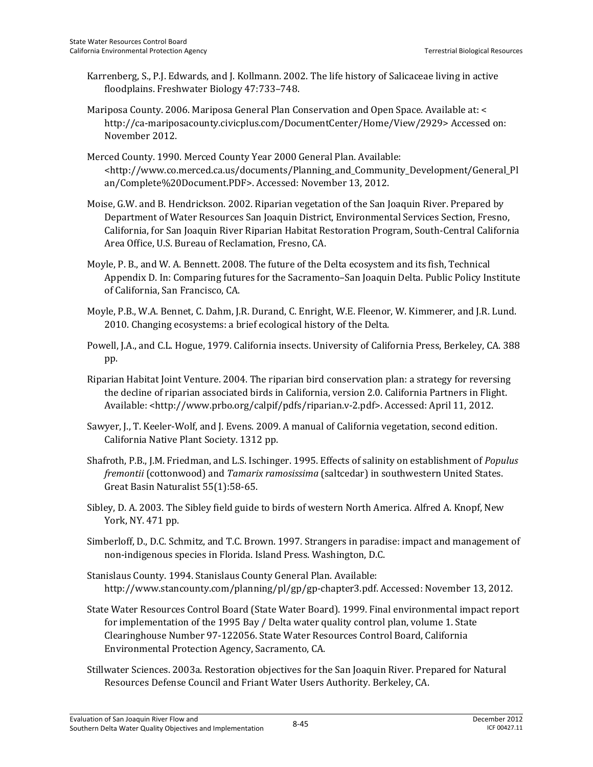- Karrenberg, S., P.J. Edwards, and J. Kollmann. 2002. The life history of Salicaceae living in active floodplains. Freshwater Biology 47:733–748.
- Mariposa County. 2006. Mariposa General Plan Conservation and Open Space. Available at: < http://ca-mariposacounty.civicplus.com/DocumentCenter/Home/View/2929> Accessed on: November 2012.
- Merced County. 1990. Merced County Year 2000 General Plan. Available: <http://www.co.merced.ca.us/documents/Planning\_and\_Community\_Development/General\_Pl an/Complete%20Document.PDF>. Accessed: November 13, 2012.
- Moise, G.W. and B. Hendrickson. 2002. Riparian vegetation of the San Joaquin River. Prepared by Department of Water Resources San Joaquin District, Environmental Services Section, Fresno, California, for San Joaquin River Riparian Habitat Restoration Program, South-Central California Area Office, U.S. Bureau of Reclamation, Fresno, CA.
- Moyle, P. B., and W. A. Bennett. 2008. The future of the Delta ecosystem and its fish, Technical Appendix D. In: Comparing futures for the Sacramento–San Joaquin Delta. Public Policy Institute of California, San Francisco, CA.
- Moyle, P.B., W.A. Bennet, C. Dahm, J.R. Durand, C. Enright, W.E. Fleenor, W. Kimmerer, and J.R. Lund. 2010. Changing ecosystems: a brief ecological history of the Delta.
- Powell, J.A., and C.L. Hogue, 1979. California insects. University of California Press, Berkeley, CA. 388 pp.
- Riparian Habitat Joint Venture. 2004. The riparian bird conservation plan: a strategy for reversing the decline of riparian associated birds in California, version 2.0. California Partners in Flight. Available: <http://www.prbo.org/calpif/pdfs/riparian.v-2.pdf>. Accessed: April 11, 2012.
- Sawyer, J., T. Keeler-Wolf, and J. Evens. 2009. A manual of California vegetation, second edition. California Native Plant Society. 1312 pp.
- Shafroth, P.B., J.M. Friedman, and L.S. Ischinger. 1995. Effects of salinity on establishment of *Populus fremontii* (cottonwood) and *Tamarix ramosissima* (saltcedar) in southwestern United States. Great Basin Naturalist 55(1):58-65.
- Sibley, D. A. 2003. The Sibley field guide to birds of western North America. Alfred A. Knopf, New York, NY. 471 pp.
- Simberloff, D., D.C. Schmitz, and T.C. Brown. 1997. Strangers in paradise: impact and management of non-indigenous species in Florida. Island Press. Washington, D.C.
- Stanislaus County. 1994. Stanislaus County General Plan. Available: http://www.stancounty.com/planning/pl/gp/gp-chapter3.pdf. Accessed: November 13, 2012.
- State Water Resources Control Board (State Water Board). 1999. Final environmental impact report for implementation of the 1995 Bay / Delta water quality control plan, volume 1. State Clearinghouse Number 97-122056. State Water Resources Control Board, California Environmental Protection Agency, Sacramento, CA.
- Stillwater Sciences. 2003a. Restoration objectives for the San Joaquin River. Prepared for Natural Resources Defense Council and Friant Water Users Authority. Berkeley, CA.